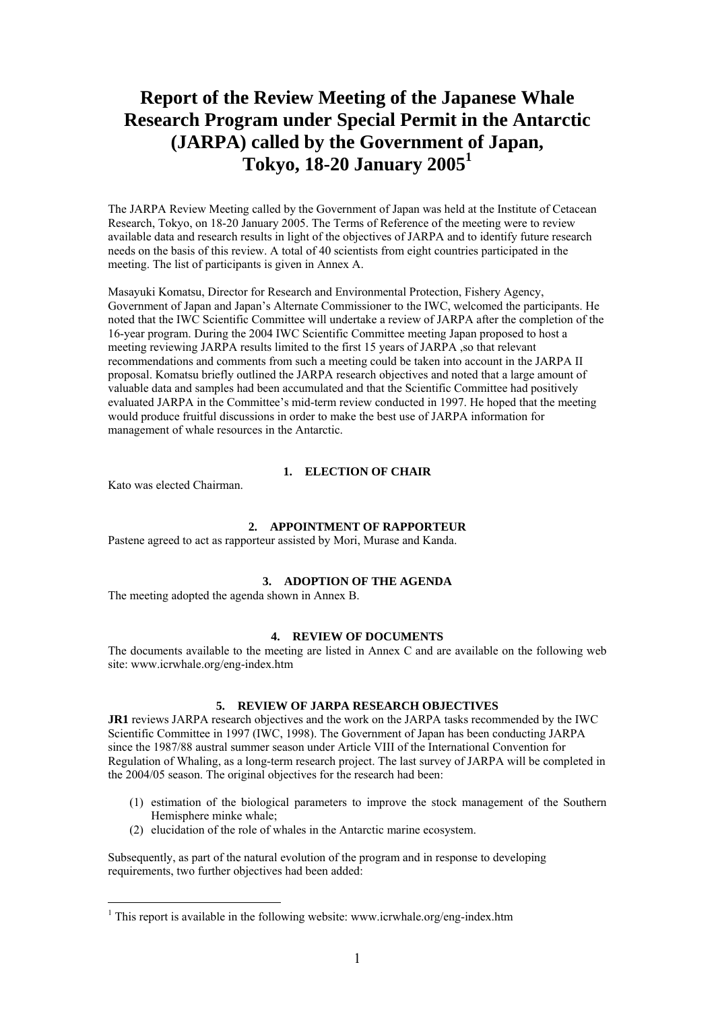# **Report of the Review Meeting of the Japanese Whale Research Program under Special Permit in the Antarctic (JARPA) called by the Government of Japan, Tokyo, 18-20 January 200[51](#page-0-0)**

The JARPA Review Meeting called by the Government of Japan was held at the Institute of Cetacean Research, Tokyo, on 18-20 January 2005. The Terms of Reference of the meeting were to review available data and research results in light of the objectives of JARPA and to identify future research needs on the basis of this review. A total of 40 scientists from eight countries participated in the meeting. The list of participants is given in Annex A.

Masayuki Komatsu, Director for Research and Environmental Protection, Fishery Agency, Government of Japan and Japan's Alternate Commissioner to the IWC, welcomed the participants. He noted that the IWC Scientific Committee will undertake a review of JARPA after the completion of the 16-year program. During the 2004 IWC Scientific Committee meeting Japan proposed to host a meeting reviewing JARPA results limited to the first 15 years of JARPA ,so that relevant recommendations and comments from such a meeting could be taken into account in the JARPA II proposal. Komatsu briefly outlined the JARPA research objectives and noted that a large amount of valuable data and samples had been accumulated and that the Scientific Committee had positively evaluated JARPA in the Committee's mid-term review conducted in 1997. He hoped that the meeting would produce fruitful discussions in order to make the best use of JARPA information for management of whale resources in the Antarctic.

# **1. ELECTION OF CHAIR**

Kato was elected Chairman.

 $\overline{a}$ 

# **2. APPOINTMENT OF RAPPORTEUR**

Pastene agreed to act as rapporteur assisted by Mori, Murase and Kanda.

#### **3. ADOPTION OF THE AGENDA**

The meeting adopted the agenda shown in Annex B.

# **4. REVIEW OF DOCUMENTS**

The documents available to the meeting are listed in Annex C and are available on the following web site: www.icrwhale.org/eng-index.htm

# **5. REVIEW OF JARPA RESEARCH OBJECTIVES**

**JR1** reviews JARPA research objectives and the work on the JARPA tasks recommended by the IWC Scientific Committee in 1997 (IWC, 1998). The Government of Japan has been conducting JARPA since the 1987/88 austral summer season under Article VIII of the International Convention for Regulation of Whaling, as a long-term research project. The last survey of JARPA will be completed in the 2004/05 season. The original objectives for the research had been:

- (1) estimation of the biological parameters to improve the stock management of the Southern Hemisphere minke whale;
- (2) elucidation of the role of whales in the Antarctic marine ecosystem.

Subsequently, as part of the natural evolution of the program and in response to developing requirements, two further objectives had been added:

<span id="page-0-0"></span><sup>&</sup>lt;sup>1</sup> This report is available in the following website: www.icrwhale.org/eng-index.htm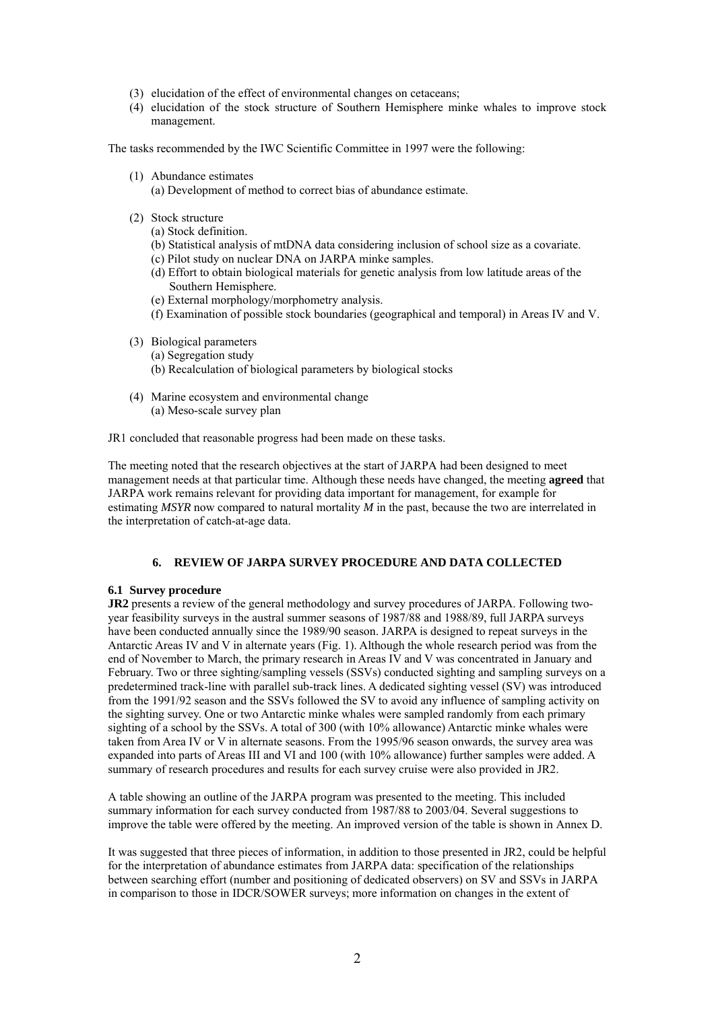- (3) elucidation of the effect of environmental changes on cetaceans;
- (4) elucidation of the stock structure of Southern Hemisphere minke whales to improve stock management.

The tasks recommended by the IWC Scientific Committee in 1997 were the following:

- (1) Abundance estimates
	- (a) Development of method to correct bias of abundance estimate.
- (2) Stock structure
	- (a) Stock definition.
	- (b) Statistical analysis of mtDNA data considering inclusion of school size as a covariate.
	- (c) Pilot study on nuclear DNA on JARPA minke samples.
	- (d) Effort to obtain biological materials for genetic analysis from low latitude areas of the Southern Hemisphere.
	- (e) External morphology/morphometry analysis.
	- (f) Examination of possible stock boundaries (geographical and temporal) in Areas IV and V.
- (3) Biological parameters
	- (a) Segregation study
	- (b) Recalculation of biological parameters by biological stocks
- (4) Marine ecosystem and environmental change (a) Meso-scale survey plan

JR1 concluded that reasonable progress had been made on these tasks.

The meeting noted that the research objectives at the start of JARPA had been designed to meet management needs at that particular time. Although these needs have changed, the meeting **agreed** that JARPA work remains relevant for providing data important for management, for example for estimating *MSYR* now compared to natural mortality *M* in the past, because the two are interrelated in the interpretation of catch-at-age data.

#### **6. REVIEW OF JARPA SURVEY PROCEDURE AND DATA COLLECTED**

#### **6.1 Survey procedure**

**JR2** presents a review of the general methodology and survey procedures of JARPA. Following twoyear feasibility surveys in the austral summer seasons of 1987/88 and 1988/89, full JARPA surveys have been conducted annually since the 1989/90 season. JARPA is designed to repeat surveys in the Antarctic Areas IV and V in alternate years (Fig. 1). Although the whole research period was from the end of November to March, the primary research in Areas IV and V was concentrated in January and February. Two or three sighting/sampling vessels (SSVs) conducted sighting and sampling surveys on a predetermined track-line with parallel sub-track lines. A dedicated sighting vessel (SV) was introduced from the 1991/92 season and the SSVs followed the SV to avoid any influence of sampling activity on the sighting survey. One or two Antarctic minke whales were sampled randomly from each primary sighting of a school by the SSVs. A total of 300 (with 10% allowance) Antarctic minke whales were taken from Area IV or V in alternate seasons. From the 1995/96 season onwards, the survey area was expanded into parts of Areas III and VI and 100 (with 10% allowance) further samples were added. A summary of research procedures and results for each survey cruise were also provided in JR2.

A table showing an outline of the JARPA program was presented to the meeting. This included summary information for each survey conducted from 1987/88 to 2003/04. Several suggestions to improve the table were offered by the meeting. An improved version of the table is shown in Annex D.

It was suggested that three pieces of information, in addition to those presented in JR2, could be helpful for the interpretation of abundance estimates from JARPA data: specification of the relationships between searching effort (number and positioning of dedicated observers) on SV and SSVs in JARPA in comparison to those in IDCR/SOWER surveys; more information on changes in the extent of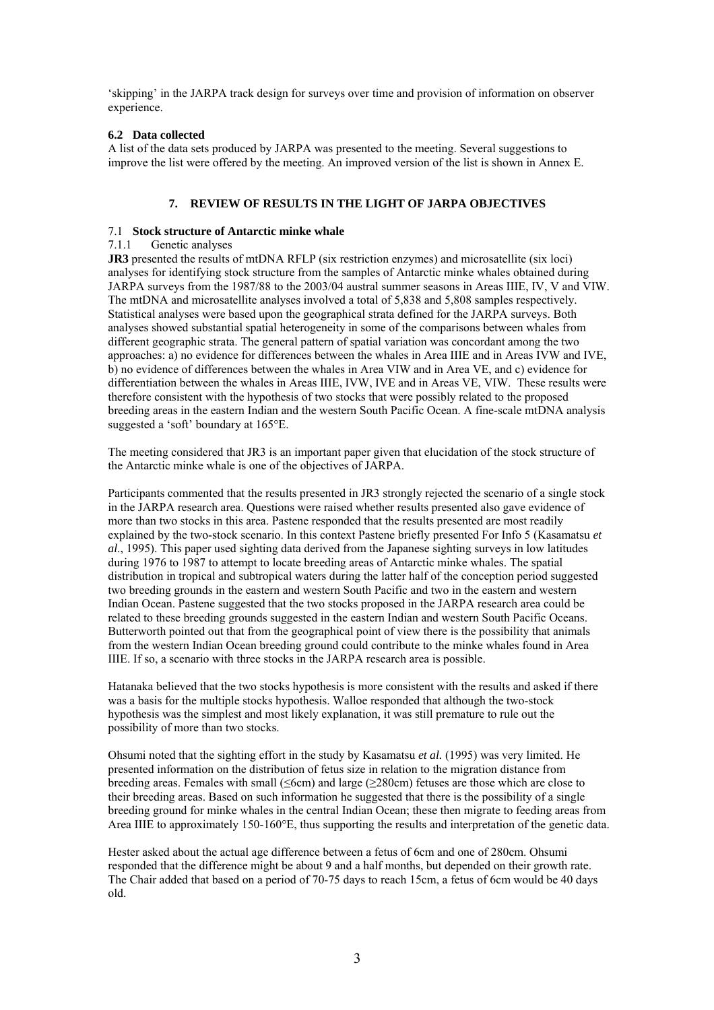'skipping' in the JARPA track design for surveys over time and provision of information on observer experience.

# **6.2 Data collected**

A list of the data sets produced by JARPA was presented to the meeting. Several suggestions to improve the list were offered by the meeting. An improved version of the list is shown in Annex E.

# **7. REVIEW OF RESULTS IN THE LIGHT OF JARPA OBJECTIVES**

#### 7.1 **Stock structure of Antarctic minke whale**

# 7.1.1 Genetic analyses

**JR3** presented the results of mtDNA RFLP (six restriction enzymes) and microsatellite (six loci) analyses for identifying stock structure from the samples of Antarctic minke whales obtained during JARPA surveys from the 1987/88 to the 2003/04 austral summer seasons in Areas IIIE, IV, V and VIW. The mtDNA and microsatellite analyses involved a total of 5,838 and 5,808 samples respectively. Statistical analyses were based upon the geographical strata defined for the JARPA surveys. Both analyses showed substantial spatial heterogeneity in some of the comparisons between whales from different geographic strata. The general pattern of spatial variation was concordant among the two approaches: a) no evidence for differences between the whales in Area IIIE and in Areas IVW and IVE, b) no evidence of differences between the whales in Area VIW and in Area VE, and c) evidence for differentiation between the whales in Areas IIIE, IVW, IVE and in Areas VE, VIW. These results were therefore consistent with the hypothesis of two stocks that were possibly related to the proposed breeding areas in the eastern Indian and the western South Pacific Ocean. A fine-scale mtDNA analysis suggested a 'soft' boundary at 165°E.

The meeting considered that JR3 is an important paper given that elucidation of the stock structure of the Antarctic minke whale is one of the objectives of JARPA.

Participants commented that the results presented in JR3 strongly rejected the scenario of a single stock in the JARPA research area. Questions were raised whether results presented also gave evidence of more than two stocks in this area. Pastene responded that the results presented are most readily explained by the two-stock scenario. In this context Pastene briefly presented For Info 5 (Kasamatsu *et al*., 1995). This paper used sighting data derived from the Japanese sighting surveys in low latitudes during 1976 to 1987 to attempt to locate breeding areas of Antarctic minke whales. The spatial distribution in tropical and subtropical waters during the latter half of the conception period suggested two breeding grounds in the eastern and western South Pacific and two in the eastern and western Indian Ocean. Pastene suggested that the two stocks proposed in the JARPA research area could be related to these breeding grounds suggested in the eastern Indian and western South Pacific Oceans. Butterworth pointed out that from the geographical point of view there is the possibility that animals from the western Indian Ocean breeding ground could contribute to the minke whales found in Area IIIE. If so, a scenario with three stocks in the JARPA research area is possible.

Hatanaka believed that the two stocks hypothesis is more consistent with the results and asked if there was a basis for the multiple stocks hypothesis. Walloe responded that although the two-stock hypothesis was the simplest and most likely explanation, it was still premature to rule out the possibility of more than two stocks.

Ohsumi noted that the sighting effort in the study by Kasamatsu *et al.* (1995) was very limited. He presented information on the distribution of fetus size in relation to the migration distance from breeding areas. Females with small (≤6cm) and large (≥280cm) fetuses are those which are close to their breeding areas. Based on such information he suggested that there is the possibility of a single breeding ground for minke whales in the central Indian Ocean; these then migrate to feeding areas from Area IIIE to approximately 150-160°E, thus supporting the results and interpretation of the genetic data.

Hester asked about the actual age difference between a fetus of 6cm and one of 280cm. Ohsumi responded that the difference might be about 9 and a half months, but depended on their growth rate. The Chair added that based on a period of 70-75 days to reach 15cm, a fetus of 6cm would be 40 days old.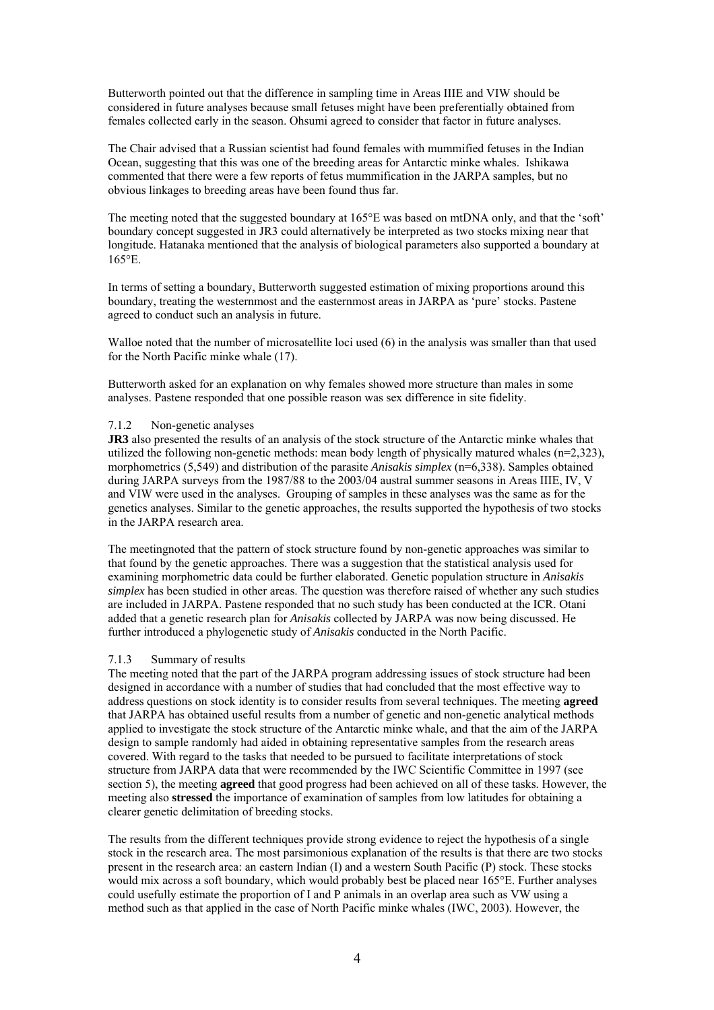Butterworth pointed out that the difference in sampling time in Areas IIIE and VIW should be considered in future analyses because small fetuses might have been preferentially obtained from females collected early in the season. Ohsumi agreed to consider that factor in future analyses.

The Chair advised that a Russian scientist had found females with mummified fetuses in the Indian Ocean, suggesting that this was one of the breeding areas for Antarctic minke whales. Ishikawa commented that there were a few reports of fetus mummification in the JARPA samples, but no obvious linkages to breeding areas have been found thus far.

The meeting noted that the suggested boundary at 165<sup>o</sup>E was based on mtDNA only, and that the 'soft' boundary concept suggested in JR3 could alternatively be interpreted as two stocks mixing near that longitude. Hatanaka mentioned that the analysis of biological parameters also supported a boundary at 165°E.

In terms of setting a boundary, Butterworth suggested estimation of mixing proportions around this boundary, treating the westernmost and the easternmost areas in JARPA as 'pure' stocks. Pastene agreed to conduct such an analysis in future.

Walloe noted that the number of microsatellite loci used (6) in the analysis was smaller than that used for the North Pacific minke whale (17).

Butterworth asked for an explanation on why females showed more structure than males in some analyses. Pastene responded that one possible reason was sex difference in site fidelity.

#### 7.1.2 Non-genetic analyses

**JR3** also presented the results of an analysis of the stock structure of the Antarctic minke whales that utilized the following non-genetic methods: mean body length of physically matured whales (n=2,323), morphometrics (5,549) and distribution of the parasite *Anisakis simplex* (n=6,338). Samples obtained during JARPA surveys from the 1987/88 to the 2003/04 austral summer seasons in Areas IIIE, IV, V and VIW were used in the analyses. Grouping of samples in these analyses was the same as for the genetics analyses. Similar to the genetic approaches, the results supported the hypothesis of two stocks in the JARPA research area.

The meetingnoted that the pattern of stock structure found by non-genetic approaches was similar to that found by the genetic approaches. There was a suggestion that the statistical analysis used for examining morphometric data could be further elaborated. Genetic population structure in *Anisakis simplex* has been studied in other areas. The question was therefore raised of whether any such studies are included in JARPA. Pastene responded that no such study has been conducted at the ICR. Otani added that a genetic research plan for *Anisakis* collected by JARPA was now being discussed. He further introduced a phylogenetic study of *Anisakis* conducted in the North Pacific.

#### 7.1.3 Summary of results

The meeting noted that the part of the JARPA program addressing issues of stock structure had been designed in accordance with a number of studies that had concluded that the most effective way to address questions on stock identity is to consider results from several techniques. The meeting **agreed** that JARPA has obtained useful results from a number of genetic and non-genetic analytical methods applied to investigate the stock structure of the Antarctic minke whale, and that the aim of the JARPA design to sample randomly had aided in obtaining representative samples from the research areas covered. With regard to the tasks that needed to be pursued to facilitate interpretations of stock structure from JARPA data that were recommended by the IWC Scientific Committee in 1997 (see section 5), the meeting **agreed** that good progress had been achieved on all of these tasks. However, the meeting also **stressed** the importance of examination of samples from low latitudes for obtaining a clearer genetic delimitation of breeding stocks.

The results from the different techniques provide strong evidence to reject the hypothesis of a single stock in the research area. The most parsimonious explanation of the results is that there are two stocks present in the research area: an eastern Indian (I) and a western South Pacific (P) stock. These stocks would mix across a soft boundary, which would probably best be placed near 165°E. Further analyses could usefully estimate the proportion of I and P animals in an overlap area such as VW using a method such as that applied in the case of North Pacific minke whales (IWC, 2003). However, the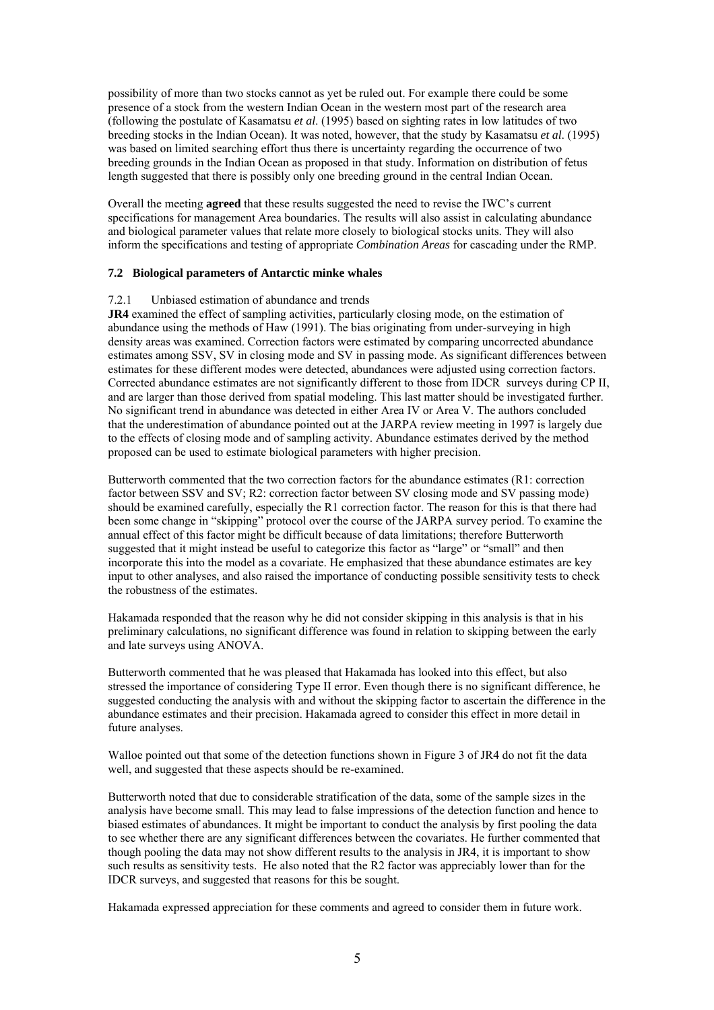possibility of more than two stocks cannot as yet be ruled out. For example there could be some presence of a stock from the western Indian Ocean in the western most part of the research area (following the postulate of Kasamatsu *et al*. (1995) based on sighting rates in low latitudes of two breeding stocks in the Indian Ocean). It was noted, however, that the study by Kasamatsu *et al*. (1995) was based on limited searching effort thus there is uncertainty regarding the occurrence of two breeding grounds in the Indian Ocean as proposed in that study. Information on distribution of fetus length suggested that there is possibly only one breeding ground in the central Indian Ocean.

Overall the meeting **agreed** that these results suggested the need to revise the IWC's current specifications for management Area boundaries. The results will also assist in calculating abundance and biological parameter values that relate more closely to biological stocks units. They will also inform the specifications and testing of appropriate *Combination Areas* for cascading under the RMP.

# **7.2 Biological parameters of Antarctic minke whales**

#### 7.2.1 Unbiased estimation of abundance and trends

**JR4** examined the effect of sampling activities, particularly closing mode, on the estimation of abundance using the methods of Haw (1991). The bias originating from under-surveying in high density areas was examined. Correction factors were estimated by comparing uncorrected abundance estimates among SSV, SV in closing mode and SV in passing mode. As significant differences between estimates for these different modes were detected, abundances were adjusted using correction factors. Corrected abundance estimates are not significantly different to those from IDCR surveys during CP II, and are larger than those derived from spatial modeling. This last matter should be investigated further. No significant trend in abundance was detected in either Area IV or Area V. The authors concluded that the underestimation of abundance pointed out at the JARPA review meeting in 1997 is largely due to the effects of closing mode and of sampling activity. Abundance estimates derived by the method proposed can be used to estimate biological parameters with higher precision.

Butterworth commented that the two correction factors for the abundance estimates (R1: correction factor between SSV and SV; R2: correction factor between SV closing mode and SV passing mode) should be examined carefully, especially the R1 correction factor. The reason for this is that there had been some change in "skipping" protocol over the course of the JARPA survey period. To examine the annual effect of this factor might be difficult because of data limitations; therefore Butterworth suggested that it might instead be useful to categorize this factor as "large" or "small" and then incorporate this into the model as a covariate. He emphasized that these abundance estimates are key input to other analyses, and also raised the importance of conducting possible sensitivity tests to check the robustness of the estimates.

Hakamada responded that the reason why he did not consider skipping in this analysis is that in his preliminary calculations, no significant difference was found in relation to skipping between the early and late surveys using ANOVA.

Butterworth commented that he was pleased that Hakamada has looked into this effect, but also stressed the importance of considering Type II error. Even though there is no significant difference, he suggested conducting the analysis with and without the skipping factor to ascertain the difference in the abundance estimates and their precision. Hakamada agreed to consider this effect in more detail in future analyses.

Walloe pointed out that some of the detection functions shown in Figure 3 of JR4 do not fit the data well, and suggested that these aspects should be re-examined.

Butterworth noted that due to considerable stratification of the data, some of the sample sizes in the analysis have become small. This may lead to false impressions of the detection function and hence to biased estimates of abundances. It might be important to conduct the analysis by first pooling the data to see whether there are any significant differences between the covariates. He further commented that though pooling the data may not show different results to the analysis in JR4, it is important to show such results as sensitivity tests. He also noted that the R2 factor was appreciably lower than for the IDCR surveys, and suggested that reasons for this be sought.

Hakamada expressed appreciation for these comments and agreed to consider them in future work.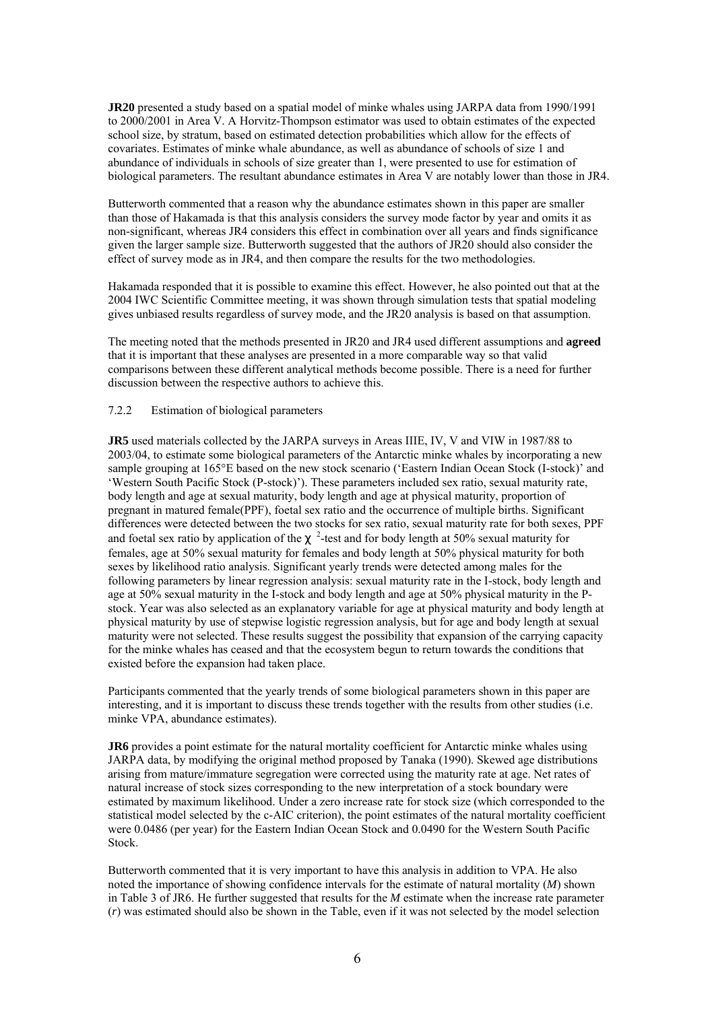**JR20** presented a study based on a spatial model of minke whales using JARPA data from 1990/1991 to 2000/2001 in Area V. A Horvitz-Thompson estimator was used to obtain estimates of the expected school size, by stratum, based on estimated detection probabilities which allow for the effects of covariates. Estimates of minke whale abundance, as well as abundance of schools of size 1 and abundance of individuals in schools of size greater than 1, were presented to use for estimation of biological parameters. The resultant abundance estimates in Area V are notably lower than those in JR4.

Butterworth commented that a reason why the abundance estimates shown in this paper are smaller than those of Hakamada is that this analysis considers the survey mode factor by year and omits it as non-significant, whereas JR4 considers this effect in combination over all years and finds significance given the larger sample size. Butterworth suggested that the authors of JR20 should also consider the effect of survey mode as in JR4, and then compare the results for the two methodologies.

Hakamada responded that it is possible to examine this effect. However, he also pointed out that at the 2004 IWC Scientific Committee meeting, it was shown through simulation tests that spatial modeling gives unbiased results regardless of survey mode, and the JR20 analysis is based on that assumption.

The meeting noted that the methods presented in JR20 and JR4 used different assumptions and **agreed**  that it is important that these analyses are presented in a more comparable way so that valid comparisons between these different analytical methods become possible. There is a need for further discussion between the respective authors to achieve this.

#### 7.2.2 Estimation of biological parameters

**JR5** used materials collected by the JARPA surveys in Areas IIIE, IV, V and VIW in 1987/88 to 2003/04, to estimate some biological parameters of the Antarctic minke whales by incorporating a new sample grouping at 165°E based on the new stock scenario ('Eastern Indian Ocean Stock (I-stock)' and 'Western South Pacific Stock (P-stock)'). These parameters included sex ratio, sexual maturity rate, body length and age at sexual maturity, body length and age at physical maturity, proportion of pregnant in matured female(PPF), foetal sex ratio and the occurrence of multiple births. Significant differences were detected between the two stocks for sex ratio, sexual maturity rate for both sexes, PPF and foetal sex ratio by application of the  $\alpha$ <sup>2</sup>-test and for body length at 50% sexual maturity for females, age at 50% sexual maturity for females and body length at 50% physical maturity for both sexes by likelihood ratio analysis. Significant yearly trends were detected among males for the following parameters by linear regression analysis: sexual maturity rate in the I-stock, body length and age at 50% sexual maturity in the I-stock and body length and age at 50% physical maturity in the Pstock. Year was also selected as an explanatory variable for age at physical maturity and body length at physical maturity by use of stepwise logistic regression analysis, but for age and body length at sexual maturity were not selected. These results suggest the possibility that expansion of the carrying capacity for the minke whales has ceased and that the ecosystem begun to return towards the conditions that existed before the expansion had taken place.

Participants commented that the yearly trends of some biological parameters shown in this paper are interesting, and it is important to discuss these trends together with the results from other studies (i.e. minke VPA, abundance estimates).

**JR6** provides a point estimate for the natural mortality coefficient for Antarctic minke whales using JARPA data, by modifying the original method proposed by Tanaka (1990). Skewed age distributions arising from mature/immature segregation were corrected using the maturity rate at age. Net rates of natural increase of stock sizes corresponding to the new interpretation of a stock boundary were estimated by maximum likelihood. Under a zero increase rate for stock size (which corresponded to the statistical model selected by the c-AIC criterion), the point estimates of the natural mortality coefficient were 0.0486 (per year) for the Eastern Indian Ocean Stock and 0.0490 for the Western South Pacific Stock.

Butterworth commented that it is very important to have this analysis in addition to VPA. He also noted the importance of showing confidence intervals for the estimate of natural mortality (*M*) shown in Table 3 of JR6. He further suggested that results for the *M* estimate when the increase rate parameter (*r*) was estimated should also be shown in the Table, even if it was not selected by the model selection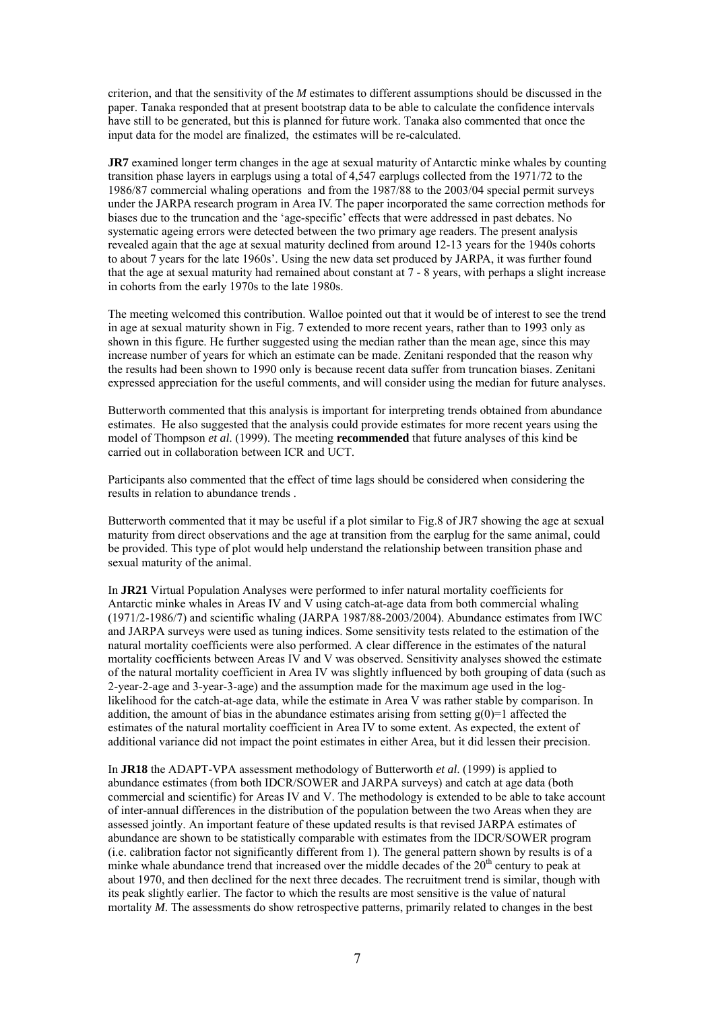criterion, and that the sensitivity of the *M* estimates to different assumptions should be discussed in the paper. Tanaka responded that at present bootstrap data to be able to calculate the confidence intervals have still to be generated, but this is planned for future work. Tanaka also commented that once the input data for the model are finalized, the estimates will be re-calculated.

**JR7** examined longer term changes in the age at sexual maturity of Antarctic minke whales by counting transition phase layers in earplugs using a total of 4,547 earplugs collected from the 1971/72 to the 1986/87 commercial whaling operations and from the 1987/88 to the 2003/04 special permit surveys under the JARPA research program in Area IV. The paper incorporated the same correction methods for biases due to the truncation and the 'age-specific' effects that were addressed in past debates. No systematic ageing errors were detected between the two primary age readers. The present analysis revealed again that the age at sexual maturity declined from around 12-13 years for the 1940s cohorts to about 7 years for the late 1960s'. Using the new data set produced by JARPA, it was further found that the age at sexual maturity had remained about constant at 7 - 8 years, with perhaps a slight increase in cohorts from the early 1970s to the late 1980s.

The meeting welcomed this contribution. Walloe pointed out that it would be of interest to see the trend in age at sexual maturity shown in Fig. 7 extended to more recent years, rather than to 1993 only as shown in this figure. He further suggested using the median rather than the mean age, since this may increase number of years for which an estimate can be made. Zenitani responded that the reason why the results had been shown to 1990 only is because recent data suffer from truncation biases. Zenitani expressed appreciation for the useful comments, and will consider using the median for future analyses.

Butterworth commented that this analysis is important for interpreting trends obtained from abundance estimates. He also suggested that the analysis could provide estimates for more recent years using the model of Thompson *et al*. (1999). The meeting **recommended** that future analyses of this kind be carried out in collaboration between ICR and UCT.

Participants also commented that the effect of time lags should be considered when considering the results in relation to abundance trends .

Butterworth commented that it may be useful if a plot similar to Fig.8 of JR7 showing the age at sexual maturity from direct observations and the age at transition from the earplug for the same animal, could be provided. This type of plot would help understand the relationship between transition phase and sexual maturity of the animal.

In **JR21** Virtual Population Analyses were performed to infer natural mortality coefficients for Antarctic minke whales in Areas IV and V using catch-at-age data from both commercial whaling (1971/2-1986/7) and scientific whaling (JARPA 1987/88-2003/2004). Abundance estimates from IWC and JARPA surveys were used as tuning indices. Some sensitivity tests related to the estimation of the natural mortality coefficients were also performed. A clear difference in the estimates of the natural mortality coefficients between Areas IV and V was observed. Sensitivity analyses showed the estimate of the natural mortality coefficient in Area IV was slightly influenced by both grouping of data (such as 2-year-2-age and 3-year-3-age) and the assumption made for the maximum age used in the loglikelihood for the catch-at-age data, while the estimate in Area V was rather stable by comparison. In addition, the amount of bias in the abundance estimates arising from setting  $g(0)=1$  affected the estimates of the natural mortality coefficient in Area IV to some extent. As expected, the extent of additional variance did not impact the point estimates in either Area, but it did lessen their precision.

In **JR18** the ADAPT-VPA assessment methodology of Butterworth *et al*. (1999) is applied to abundance estimates (from both IDCR/SOWER and JARPA surveys) and catch at age data (both commercial and scientific) for Areas IV and V. The methodology is extended to be able to take account of inter-annual differences in the distribution of the population between the two Areas when they are assessed jointly. An important feature of these updated results is that revised JARPA estimates of abundance are shown to be statistically comparable with estimates from the IDCR/SOWER program (i.e. calibration factor not significantly different from 1). The general pattern shown by results is of a minke whale abundance trend that increased over the middle decades of the  $20<sup>th</sup>$  century to peak at about 1970, and then declined for the next three decades. The recruitment trend is similar, though with its peak slightly earlier. The factor to which the results are most sensitive is the value of natural mortality *M*. The assessments do show retrospective patterns, primarily related to changes in the best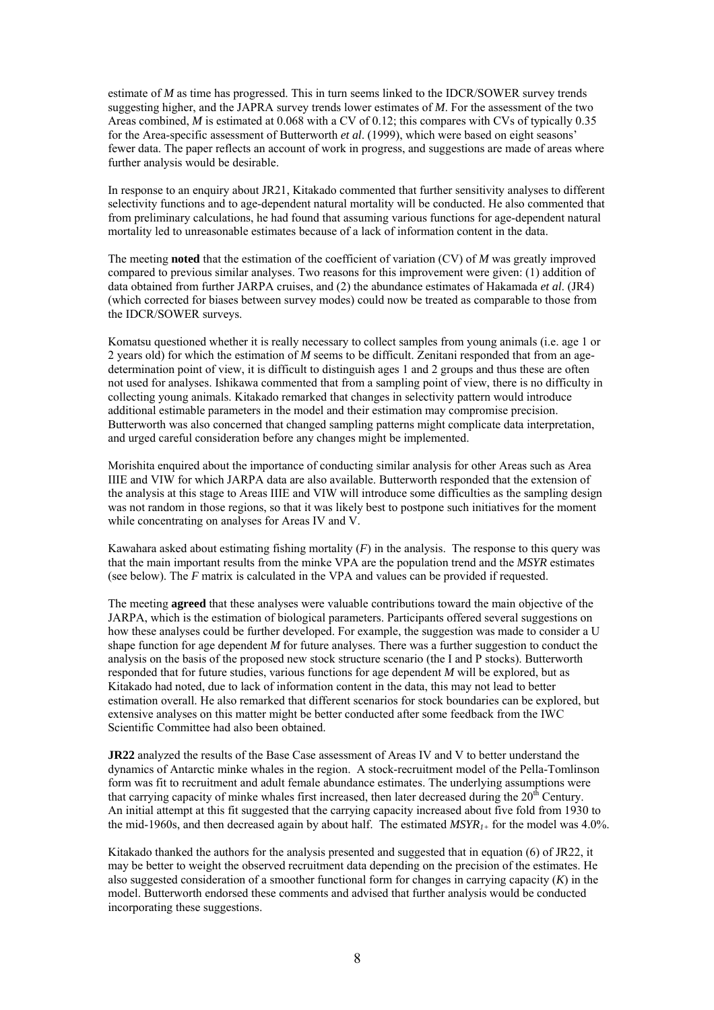estimate of *M* as time has progressed. This in turn seems linked to the IDCR/SOWER survey trends suggesting higher, and the JAPRA survey trends lower estimates of *M*. For the assessment of the two Areas combined, *M* is estimated at 0.068 with a CV of 0.12; this compares with CVs of typically 0.35 for the Area-specific assessment of Butterworth *et al*. (1999), which were based on eight seasons' fewer data. The paper reflects an account of work in progress, and suggestions are made of areas where further analysis would be desirable.

In response to an enquiry about JR21, Kitakado commented that further sensitivity analyses to different selectivity functions and to age-dependent natural mortality will be conducted. He also commented that from preliminary calculations, he had found that assuming various functions for age-dependent natural mortality led to unreasonable estimates because of a lack of information content in the data.

The meeting **noted** that the estimation of the coefficient of variation (CV) of *M* was greatly improved compared to previous similar analyses. Two reasons for this improvement were given: (1) addition of data obtained from further JARPA cruises, and (2) the abundance estimates of Hakamada *et al*. (JR4) (which corrected for biases between survey modes) could now be treated as comparable to those from the IDCR/SOWER surveys.

Komatsu questioned whether it is really necessary to collect samples from young animals (i.e. age 1 or 2 years old) for which the estimation of *M* seems to be difficult. Zenitani responded that from an agedetermination point of view, it is difficult to distinguish ages 1 and 2 groups and thus these are often not used for analyses. Ishikawa commented that from a sampling point of view, there is no difficulty in collecting young animals. Kitakado remarked that changes in selectivity pattern would introduce additional estimable parameters in the model and their estimation may compromise precision. Butterworth was also concerned that changed sampling patterns might complicate data interpretation, and urged careful consideration before any changes might be implemented.

Morishita enquired about the importance of conducting similar analysis for other Areas such as Area IIIE and VIW for which JARPA data are also available. Butterworth responded that the extension of the analysis at this stage to Areas IIIE and VIW will introduce some difficulties as the sampling design was not random in those regions, so that it was likely best to postpone such initiatives for the moment while concentrating on analyses for Areas IV and V.

Kawahara asked about estimating fishing mortality  $(F)$  in the analysis. The response to this query was that the main important results from the minke VPA are the population trend and the *MSYR* estimates (see below). The *F* matrix is calculated in the VPA and values can be provided if requested.

The meeting **agreed** that these analyses were valuable contributions toward the main objective of the JARPA, which is the estimation of biological parameters. Participants offered several suggestions on how these analyses could be further developed. For example, the suggestion was made to consider a U shape function for age dependent *M* for future analyses. There was a further suggestion to conduct the analysis on the basis of the proposed new stock structure scenario (the I and P stocks). Butterworth responded that for future studies, various functions for age dependent *M* will be explored, but as Kitakado had noted, due to lack of information content in the data, this may not lead to better estimation overall. He also remarked that different scenarios for stock boundaries can be explored, but extensive analyses on this matter might be better conducted after some feedback from the IWC Scientific Committee had also been obtained.

**JR22** analyzed the results of the Base Case assessment of Areas IV and V to better understand the dynamics of Antarctic minke whales in the region. A stock-recruitment model of the Pella-Tomlinson form was fit to recruitment and adult female abundance estimates. The underlying assumptions were that carrying capacity of minke whales first increased, then later decreased during the  $20<sup>th</sup>$  Century. An initial attempt at this fit suggested that the carrying capacity increased about five fold from 1930 to the mid-1960s, and then decreased again by about half. The estimated  $MSYR_{1+}$  for the model was 4.0%.

Kitakado thanked the authors for the analysis presented and suggested that in equation (6) of JR22, it may be better to weight the observed recruitment data depending on the precision of the estimates. He also suggested consideration of a smoother functional form for changes in carrying capacity (*K*) in the model. Butterworth endorsed these comments and advised that further analysis would be conducted incorporating these suggestions.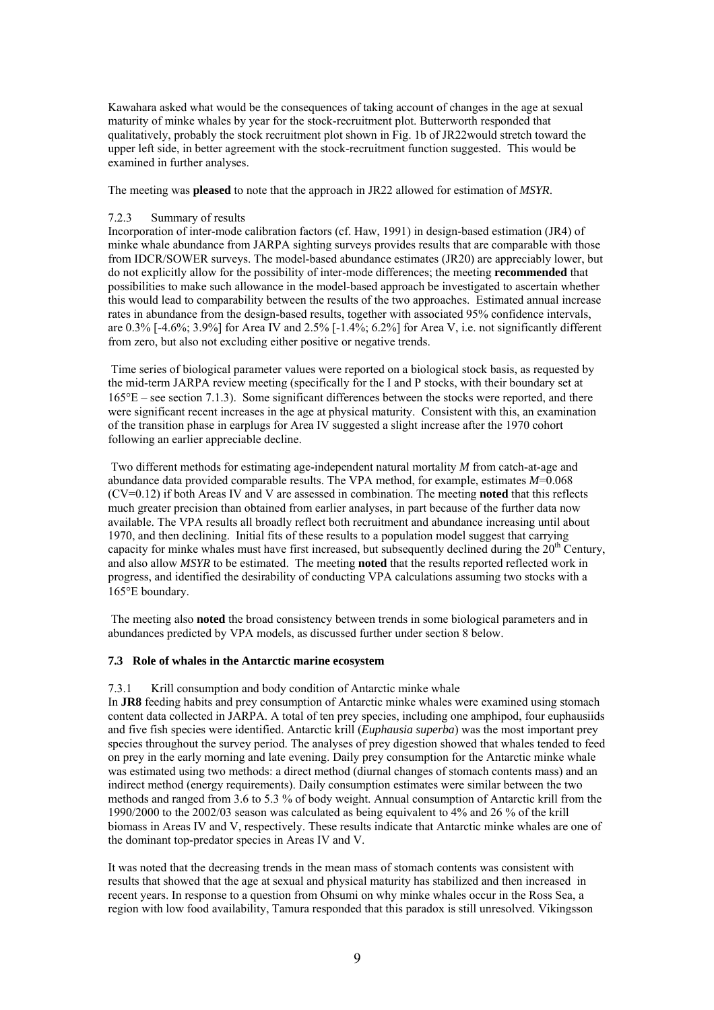Kawahara asked what would be the consequences of taking account of changes in the age at sexual maturity of minke whales by year for the stock-recruitment plot. Butterworth responded that qualitatively, probably the stock recruitment plot shown in Fig. 1b of JR22would stretch toward the upper left side, in better agreement with the stock-recruitment function suggested. This would be examined in further analyses.

The meeting was **pleased** to note that the approach in JR22 allowed for estimation of *MSYR*.

# 7.2.3 Summary of results

Incorporation of inter-mode calibration factors (cf. Haw, 1991) in design-based estimation (JR4) of minke whale abundance from JARPA sighting surveys provides results that are comparable with those from IDCR/SOWER surveys. The model-based abundance estimates (JR20) are appreciably lower, but do not explicitly allow for the possibility of inter-mode differences; the meeting **recommended** that possibilities to make such allowance in the model-based approach be investigated to ascertain whether this would lead to comparability between the results of the two approaches. Estimated annual increase rates in abundance from the design-based results, together with associated 95% confidence intervals, are 0.3% [-4.6%; 3.9%] for Area IV and 2.5% [-1.4%; 6.2%] for Area V, i.e. not significantly different from zero, but also not excluding either positive or negative trends.

 Time series of biological parameter values were reported on a biological stock basis, as requested by the mid-term JARPA review meeting (specifically for the I and P stocks, with their boundary set at 165°E – see section 7.1.3). Some significant differences between the stocks were reported, and there were significant recent increases in the age at physical maturity. Consistent with this, an examination of the transition phase in earplugs for Area IV suggested a slight increase after the 1970 cohort following an earlier appreciable decline.

 Two different methods for estimating age-independent natural mortality *M* from catch-at-age and abundance data provided comparable results. The VPA method, for example, estimates *M*=0.068 (CV=0.12) if both Areas IV and V are assessed in combination. The meeting **noted** that this reflects much greater precision than obtained from earlier analyses, in part because of the further data now available. The VPA results all broadly reflect both recruitment and abundance increasing until about 1970, and then declining. Initial fits of these results to a population model suggest that carrying capacity for minke whales must have first increased, but subsequently declined during the  $20<sup>th</sup>$  Century, and also allow *MSYR* to be estimated. The meeting **noted** that the results reported reflected work in progress, and identified the desirability of conducting VPA calculations assuming two stocks with a 165°E boundary.

 The meeting also **noted** the broad consistency between trends in some biological parameters and in abundances predicted by VPA models, as discussed further under section 8 below.

# **7.3 Role of whales in the Antarctic marine ecosystem**

7.3.1 Krill consumption and body condition of Antarctic minke whale

In **JR8** feeding habits and prey consumption of Antarctic minke whales were examined using stomach content data collected in JARPA. A total of ten prey species, including one amphipod, four euphausiids and five fish species were identified. Antarctic krill (*Euphausia superba*) was the most important prey species throughout the survey period. The analyses of prey digestion showed that whales tended to feed on prey in the early morning and late evening. Daily prey consumption for the Antarctic minke whale was estimated using two methods: a direct method (diurnal changes of stomach contents mass) and an indirect method (energy requirements). Daily consumption estimates were similar between the two methods and ranged from 3.6 to 5.3 % of body weight. Annual consumption of Antarctic krill from the 1990/2000 to the 2002/03 season was calculated as being equivalent to 4% and 26 % of the krill biomass in Areas IV and V, respectively. These results indicate that Antarctic minke whales are one of the dominant top-predator species in Areas IV and V.

It was noted that the decreasing trends in the mean mass of stomach contents was consistent with results that showed that the age at sexual and physical maturity has stabilized and then increased in recent years. In response to a question from Ohsumi on why minke whales occur in the Ross Sea, a region with low food availability, Tamura responded that this paradox is still unresolved. Vikingsson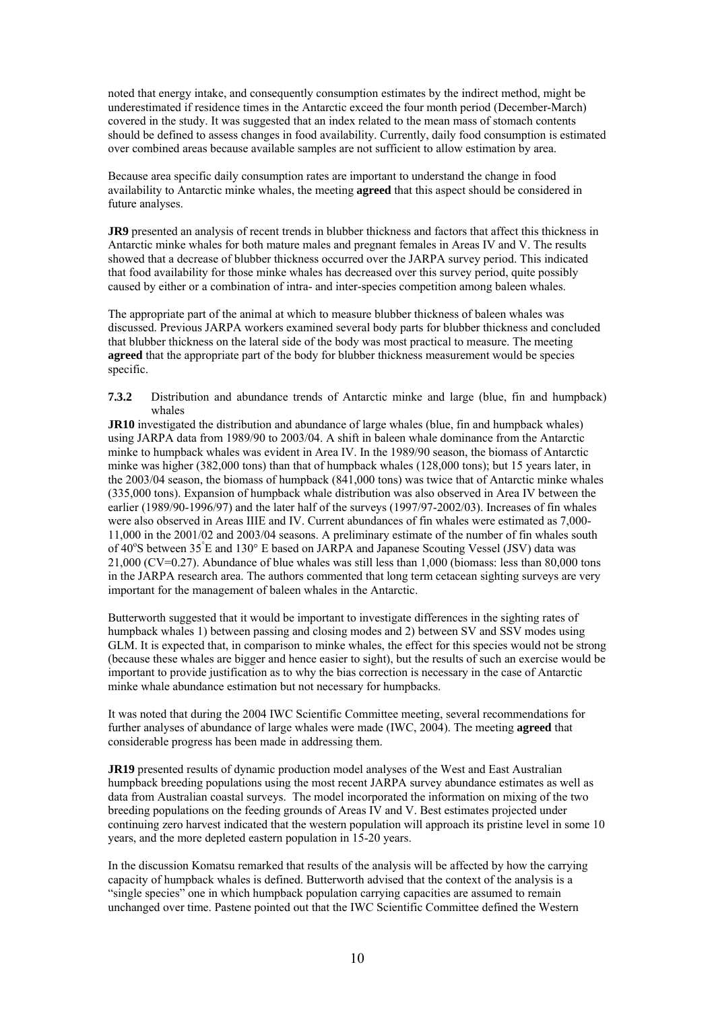noted that energy intake, and consequently consumption estimates by the indirect method, might be underestimated if residence times in the Antarctic exceed the four month period (December-March) covered in the study. It was suggested that an index related to the mean mass of stomach contents should be defined to assess changes in food availability. Currently, daily food consumption is estimated over combined areas because available samples are not sufficient to allow estimation by area.

Because area specific daily consumption rates are important to understand the change in food availability to Antarctic minke whales, the meeting **agreed** that this aspect should be considered in future analyses.

**JR9** presented an analysis of recent trends in blubber thickness and factors that affect this thickness in Antarctic minke whales for both mature males and pregnant females in Areas IV and V. The results showed that a decrease of blubber thickness occurred over the JARPA survey period. This indicated that food availability for those minke whales has decreased over this survey period, quite possibly caused by either or a combination of intra- and inter-species competition among baleen whales.

The appropriate part of the animal at which to measure blubber thickness of baleen whales was discussed. Previous JARPA workers examined several body parts for blubber thickness and concluded that blubber thickness on the lateral side of the body was most practical to measure. The meeting **agreed** that the appropriate part of the body for blubber thickness measurement would be species specific.

**7.3.2** Distribution and abundance trends of Antarctic minke and large (blue, fin and humpback) whales

**JR10** investigated the distribution and abundance of large whales (blue, fin and humpback whales) using JARPA data from 1989/90 to 2003/04. A shift in baleen whale dominance from the Antarctic minke to humpback whales was evident in Area IV. In the 1989/90 season, the biomass of Antarctic minke was higher (382,000 tons) than that of humpback whales (128,000 tons); but 15 years later, in the 2003/04 season, the biomass of humpback (841,000 tons) was twice that of Antarctic minke whales (335,000 tons). Expansion of humpback whale distribution was also observed in Area IV between the earlier (1989/90-1996/97) and the later half of the surveys (1997/97-2002/03). Increases of fin whales were also observed in Areas IIIE and IV. Current abundances of fin whales were estimated as 7,000- 11,000 in the 2001/02 and 2003/04 seasons. A preliminary estimate of the number of fin whales south of 40°S between 35°E and 130°E based on JARPA and Japanese Scouting Vessel (JSV) data was 21,000 (CV=0.27). Abundance of blue whales was still less than 1,000 (biomass: less than 80,000 tons in the JARPA research area. The authors commented that long term cetacean sighting surveys are very important for the management of baleen whales in the Antarctic.

Butterworth suggested that it would be important to investigate differences in the sighting rates of humpback whales 1) between passing and closing modes and 2) between SV and SSV modes using GLM. It is expected that, in comparison to minke whales, the effect for this species would not be strong (because these whales are bigger and hence easier to sight), but the results of such an exercise would be important to provide justification as to why the bias correction is necessary in the case of Antarctic minke whale abundance estimation but not necessary for humpbacks.

It was noted that during the 2004 IWC Scientific Committee meeting, several recommendations for further analyses of abundance of large whales were made (IWC, 2004). The meeting **agreed** that considerable progress has been made in addressing them.

**JR19** presented results of dynamic production model analyses of the West and East Australian humpback breeding populations using the most recent JARPA survey abundance estimates as well as data from Australian coastal surveys. The model incorporated the information on mixing of the two breeding populations on the feeding grounds of Areas IV and V. Best estimates projected under continuing zero harvest indicated that the western population will approach its pristine level in some 10 years, and the more depleted eastern population in 15-20 years.

In the discussion Komatsu remarked that results of the analysis will be affected by how the carrying capacity of humpback whales is defined. Butterworth advised that the context of the analysis is a "single species" one in which humpback population carrying capacities are assumed to remain unchanged over time. Pastene pointed out that the IWC Scientific Committee defined the Western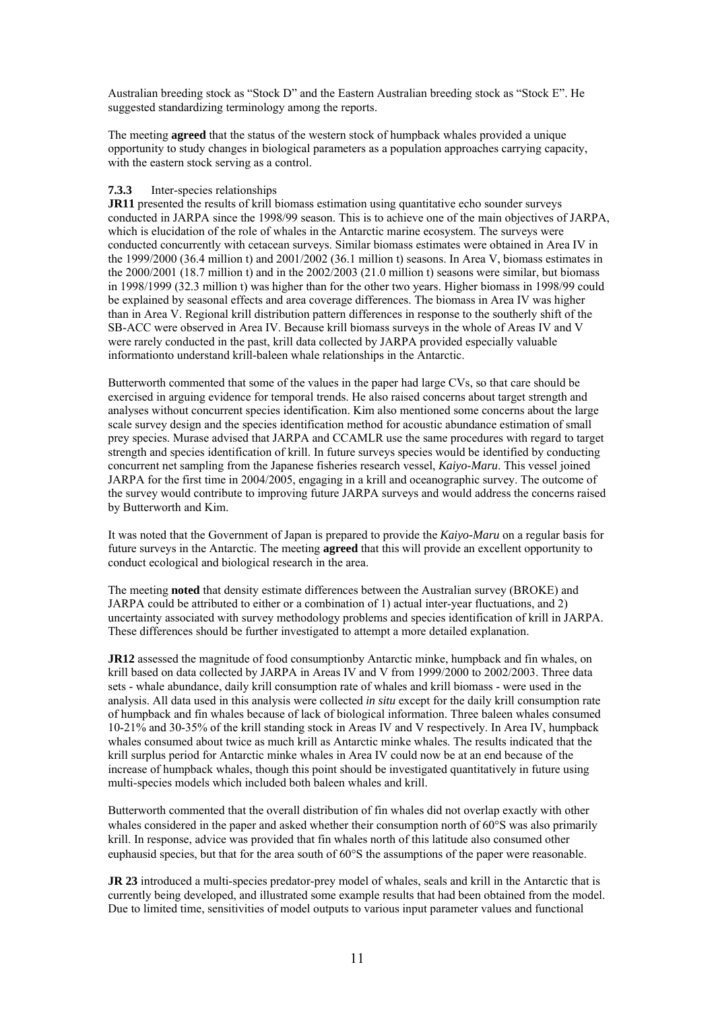Australian breeding stock as "Stock D" and the Eastern Australian breeding stock as "Stock E". He suggested standardizing terminology among the reports.

The meeting **agreed** that the status of the western stock of humpback whales provided a unique opportunity to study changes in biological parameters as a population approaches carrying capacity, with the eastern stock serving as a control.

# **7.3.3** Inter-species relationships

**JR11** presented the results of krill biomass estimation using quantitative echo sounder surveys conducted in JARPA since the 1998/99 season. This is to achieve one of the main objectives of JARPA, which is elucidation of the role of whales in the Antarctic marine ecosystem. The surveys were conducted concurrently with cetacean surveys. Similar biomass estimates were obtained in Area IV in the 1999/2000 (36.4 million t) and 2001/2002 (36.1 million t) seasons. In Area V, biomass estimates in the 2000/2001 (18.7 million t) and in the 2002/2003 (21.0 million t) seasons were similar, but biomass in 1998/1999 (32.3 million t) was higher than for the other two years. Higher biomass in 1998/99 could be explained by seasonal effects and area coverage differences. The biomass in Area IV was higher than in Area V. Regional krill distribution pattern differences in response to the southerly shift of the SB-ACC were observed in Area IV. Because krill biomass surveys in the whole of Areas IV and V were rarely conducted in the past, krill data collected by JARPA provided especially valuable informationto understand krill-baleen whale relationships in the Antarctic.

Butterworth commented that some of the values in the paper had large CVs, so that care should be exercised in arguing evidence for temporal trends. He also raised concerns about target strength and analyses without concurrent species identification. Kim also mentioned some concerns about the large scale survey design and the species identification method for acoustic abundance estimation of small prey species. Murase advised that JARPA and CCAMLR use the same procedures with regard to target strength and species identification of krill. In future surveys species would be identified by conducting concurrent net sampling from the Japanese fisheries research vessel, *Kaiyo-Maru*. This vessel joined JARPA for the first time in 2004/2005, engaging in a krill and oceanographic survey. The outcome of the survey would contribute to improving future JARPA surveys and would address the concerns raised by Butterworth and Kim.

It was noted that the Government of Japan is prepared to provide the *Kaiyo-Maru* on a regular basis for future surveys in the Antarctic. The meeting **agreed** that this will provide an excellent opportunity to conduct ecological and biological research in the area.

The meeting **noted** that density estimate differences between the Australian survey (BROKE) and JARPA could be attributed to either or a combination of 1) actual inter-year fluctuations, and 2) uncertainty associated with survey methodology problems and species identification of krill in JARPA. These differences should be further investigated to attempt a more detailed explanation.

**JR12** assessed the magnitude of food consumptionby Antarctic minke, humpback and fin whales, on krill based on data collected by JARPA in Areas IV and V from 1999/2000 to 2002/2003. Three data sets - whale abundance, daily krill consumption rate of whales and krill biomass - were used in the analysis. All data used in this analysis were collected *in situ* except for the daily krill consumption rate of humpback and fin whales because of lack of biological information. Three baleen whales consumed 10-21% and 30-35% of the krill standing stock in Areas IV and V respectively. In Area IV, humpback whales consumed about twice as much krill as Antarctic minke whales. The results indicated that the krill surplus period for Antarctic minke whales in Area IV could now be at an end because of the increase of humpback whales, though this point should be investigated quantitatively in future using multi-species models which included both baleen whales and krill.

Butterworth commented that the overall distribution of fin whales did not overlap exactly with other whales considered in the paper and asked whether their consumption north of 60°S was also primarily krill. In response, advice was provided that fin whales north of this latitude also consumed other euphausid species, but that for the area south of 60°S the assumptions of the paper were reasonable.

**JR 23** introduced a multi-species predator-prey model of whales, seals and krill in the Antarctic that is currently being developed, and illustrated some example results that had been obtained from the model. Due to limited time, sensitivities of model outputs to various input parameter values and functional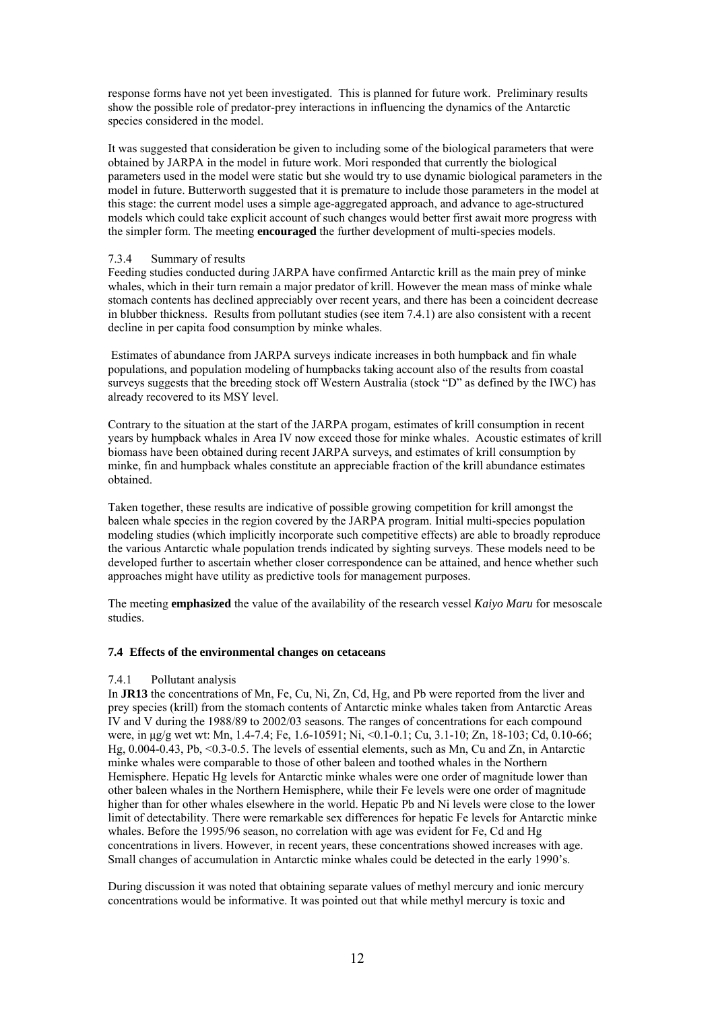response forms have not yet been investigated. This is planned for future work. Preliminary results show the possible role of predator-prey interactions in influencing the dynamics of the Antarctic species considered in the model.

It was suggested that consideration be given to including some of the biological parameters that were obtained by JARPA in the model in future work. Mori responded that currently the biological parameters used in the model were static but she would try to use dynamic biological parameters in the model in future. Butterworth suggested that it is premature to include those parameters in the model at this stage: the current model uses a simple age-aggregated approach, and advance to age-structured models which could take explicit account of such changes would better first await more progress with the simpler form. The meeting **encouraged** the further development of multi-species models.

# 7.3.4 Summary of results

Feeding studies conducted during JARPA have confirmed Antarctic krill as the main prey of minke whales, which in their turn remain a major predator of krill. However the mean mass of minke whale stomach contents has declined appreciably over recent years, and there has been a coincident decrease in blubber thickness. Results from pollutant studies (see item 7.4.1) are also consistent with a recent decline in per capita food consumption by minke whales.

 Estimates of abundance from JARPA surveys indicate increases in both humpback and fin whale populations, and population modeling of humpbacks taking account also of the results from coastal surveys suggests that the breeding stock off Western Australia (stock "D" as defined by the IWC) has already recovered to its MSY level.

Contrary to the situation at the start of the JARPA progam, estimates of krill consumption in recent years by humpback whales in Area IV now exceed those for minke whales. Acoustic estimates of krill biomass have been obtained during recent JARPA surveys, and estimates of krill consumption by minke, fin and humpback whales constitute an appreciable fraction of the krill abundance estimates obtained.

Taken together, these results are indicative of possible growing competition for krill amongst the baleen whale species in the region covered by the JARPA program. Initial multi-species population modeling studies (which implicitly incorporate such competitive effects) are able to broadly reproduce the various Antarctic whale population trends indicated by sighting surveys. These models need to be developed further to ascertain whether closer correspondence can be attained, and hence whether such approaches might have utility as predictive tools for management purposes.

The meeting **emphasized** the value of the availability of the research vessel *Kaiyo Maru* for mesoscale studies.

# **7.4 Effects of the environmental changes on cetaceans**

# 7.4.1 Pollutant analysis

In **JR13** the concentrations of Mn, Fe, Cu, Ni, Zn, Cd, Hg, and Pb were reported from the liver and prey species (krill) from the stomach contents of Antarctic minke whales taken from Antarctic Areas IV and V during the 1988/89 to 2002/03 seasons. The ranges of concentrations for each compound were, in µg/g wet wt: Mn, 1.4-7.4; Fe, 1.6-10591; Ni, <0.1-0.1; Cu, 3.1-10; Zn, 18-103; Cd, 0.10-66; Hg, 0.004-0.43, Pb, <0.3-0.5. The levels of essential elements, such as Mn, Cu and Zn, in Antarctic minke whales were comparable to those of other baleen and toothed whales in the Northern Hemisphere. Hepatic Hg levels for Antarctic minke whales were one order of magnitude lower than other baleen whales in the Northern Hemisphere, while their Fe levels were one order of magnitude higher than for other whales elsewhere in the world. Hepatic Pb and Ni levels were close to the lower limit of detectability. There were remarkable sex differences for hepatic Fe levels for Antarctic minke whales. Before the 1995/96 season, no correlation with age was evident for Fe, Cd and Hg concentrations in livers. However, in recent years, these concentrations showed increases with age. Small changes of accumulation in Antarctic minke whales could be detected in the early 1990's.

During discussion it was noted that obtaining separate values of methyl mercury and ionic mercury concentrations would be informative. It was pointed out that while methyl mercury is toxic and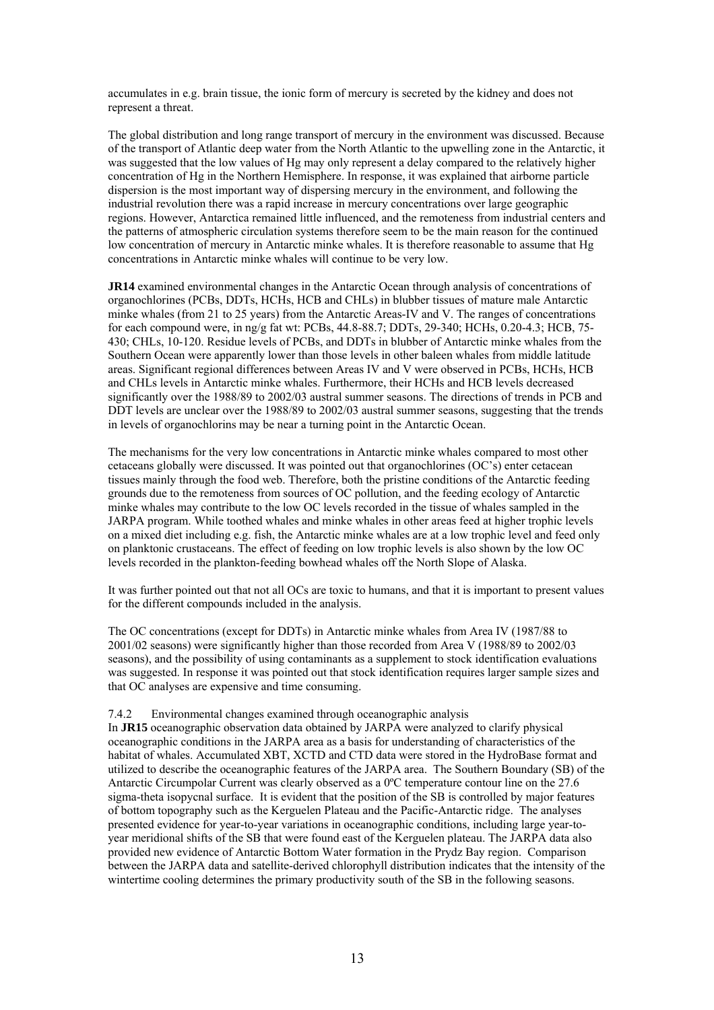accumulates in e.g. brain tissue, the ionic form of mercury is secreted by the kidney and does not represent a threat.

The global distribution and long range transport of mercury in the environment was discussed. Because of the transport of Atlantic deep water from the North Atlantic to the upwelling zone in the Antarctic, it was suggested that the low values of Hg may only represent a delay compared to the relatively higher concentration of Hg in the Northern Hemisphere. In response, it was explained that airborne particle dispersion is the most important way of dispersing mercury in the environment, and following the industrial revolution there was a rapid increase in mercury concentrations over large geographic regions. However, Antarctica remained little influenced, and the remoteness from industrial centers and the patterns of atmospheric circulation systems therefore seem to be the main reason for the continued low concentration of mercury in Antarctic minke whales. It is therefore reasonable to assume that Hg concentrations in Antarctic minke whales will continue to be very low.

**JR14** examined environmental changes in the Antarctic Ocean through analysis of concentrations of organochlorines (PCBs, DDTs, HCHs, HCB and CHLs) in blubber tissues of mature male Antarctic minke whales (from 21 to 25 years) from the Antarctic Areas-IV and V. The ranges of concentrations for each compound were, in ng/g fat wt: PCBs, 44.8-88.7; DDTs, 29-340; HCHs, 0.20-4.3; HCB, 75- 430; CHLs, 10-120. Residue levels of PCBs, and DDTs in blubber of Antarctic minke whales from the Southern Ocean were apparently lower than those levels in other baleen whales from middle latitude areas. Significant regional differences between Areas IV and V were observed in PCBs, HCHs, HCB and CHLs levels in Antarctic minke whales. Furthermore, their HCHs and HCB levels decreased significantly over the 1988/89 to 2002/03 austral summer seasons. The directions of trends in PCB and DDT levels are unclear over the 1988/89 to 2002/03 austral summer seasons, suggesting that the trends in levels of organochlorins may be near a turning point in the Antarctic Ocean.

The mechanisms for the very low concentrations in Antarctic minke whales compared to most other cetaceans globally were discussed. It was pointed out that organochlorines (OC's) enter cetacean tissues mainly through the food web. Therefore, both the pristine conditions of the Antarctic feeding grounds due to the remoteness from sources of OC pollution, and the feeding ecology of Antarctic minke whales may contribute to the low OC levels recorded in the tissue of whales sampled in the JARPA program. While toothed whales and minke whales in other areas feed at higher trophic levels on a mixed diet including e.g. fish, the Antarctic minke whales are at a low trophic level and feed only on planktonic crustaceans. The effect of feeding on low trophic levels is also shown by the low OC levels recorded in the plankton-feeding bowhead whales off the North Slope of Alaska.

It was further pointed out that not all OCs are toxic to humans, and that it is important to present values for the different compounds included in the analysis.

The OC concentrations (except for DDTs) in Antarctic minke whales from Area IV (1987/88 to 2001/02 seasons) were significantly higher than those recorded from Area V (1988/89 to 2002/03 seasons), and the possibility of using contaminants as a supplement to stock identification evaluations was suggested. In response it was pointed out that stock identification requires larger sample sizes and that OC analyses are expensive and time consuming.

#### 7.4.2 Environmental changes examined through oceanographic analysis

In **JR15** oceanographic observation data obtained by JARPA were analyzed to clarify physical oceanographic conditions in the JARPA area as a basis for understanding of characteristics of the habitat of whales. Accumulated XBT, XCTD and CTD data were stored in the HydroBase format and utilized to describe the oceanographic features of the JARPA area. The Southern Boundary (SB) of the Antarctic Circumpolar Current was clearly observed as a 0ºC temperature contour line on the 27.6 sigma-theta isopycnal surface. It is evident that the position of the SB is controlled by major features of bottom topography such as the Kerguelen Plateau and the Pacific-Antarctic ridge. The analyses presented evidence for year-to-year variations in oceanographic conditions, including large year-toyear meridional shifts of the SB that were found east of the Kerguelen plateau. The JARPA data also provided new evidence of Antarctic Bottom Water formation in the Prydz Bay region. Comparison between the JARPA data and satellite-derived chlorophyll distribution indicates that the intensity of the wintertime cooling determines the primary productivity south of the SB in the following seasons.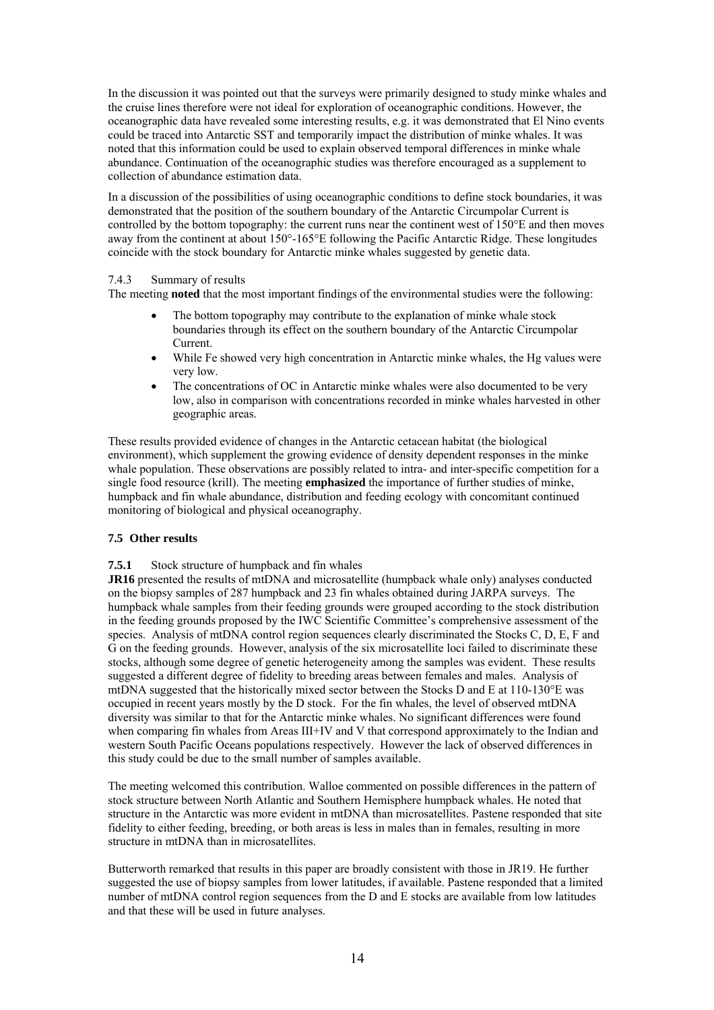In the discussion it was pointed out that the surveys were primarily designed to study minke whales and the cruise lines therefore were not ideal for exploration of oceanographic conditions. However, the oceanographic data have revealed some interesting results, e.g. it was demonstrated that El Nino events could be traced into Antarctic SST and temporarily impact the distribution of minke whales. It was noted that this information could be used to explain observed temporal differences in minke whale abundance. Continuation of the oceanographic studies was therefore encouraged as a supplement to collection of abundance estimation data.

In a discussion of the possibilities of using oceanographic conditions to define stock boundaries, it was demonstrated that the position of the southern boundary of the Antarctic Circumpolar Current is controlled by the bottom topography: the current runs near the continent west of 150°E and then moves away from the continent at about 150°-165°E following the Pacific Antarctic Ridge. These longitudes coincide with the stock boundary for Antarctic minke whales suggested by genetic data.

# 7.4.3 Summary of results

The meeting **noted** that the most important findings of the environmental studies were the following:

- The bottom topography may contribute to the explanation of minke whale stock boundaries through its effect on the southern boundary of the Antarctic Circumpolar Current.
- While Fe showed very high concentration in Antarctic minke whales, the Hg values were very low.
- The concentrations of OC in Antarctic minke whales were also documented to be very low, also in comparison with concentrations recorded in minke whales harvested in other geographic areas.

These results provided evidence of changes in the Antarctic cetacean habitat (the biological environment), which supplement the growing evidence of density dependent responses in the minke whale population. These observations are possibly related to intra- and inter-specific competition for a single food resource (krill). The meeting **emphasized** the importance of further studies of minke, humpback and fin whale abundance, distribution and feeding ecology with concomitant continued monitoring of biological and physical oceanography.

# **7.5 Other results**

**7.5.1** Stock structure of humpback and fin whales

**JR16** presented the results of mtDNA and microsatellite (humpback whale only) analyses conducted on the biopsy samples of 287 humpback and 23 fin whales obtained during JARPA surveys. The humpback whale samples from their feeding grounds were grouped according to the stock distribution in the feeding grounds proposed by the IWC Scientific Committee's comprehensive assessment of the species. Analysis of mtDNA control region sequences clearly discriminated the Stocks C, D, E, F and G on the feeding grounds. However, analysis of the six microsatellite loci failed to discriminate these stocks, although some degree of genetic heterogeneity among the samples was evident. These results suggested a different degree of fidelity to breeding areas between females and males. Analysis of mtDNA suggested that the historically mixed sector between the Stocks D and E at 110-130°E was occupied in recent years mostly by the D stock. For the fin whales, the level of observed mtDNA diversity was similar to that for the Antarctic minke whales. No significant differences were found when comparing fin whales from Areas III+IV and V that correspond approximately to the Indian and western South Pacific Oceans populations respectively. However the lack of observed differences in this study could be due to the small number of samples available.

The meeting welcomed this contribution. Walloe commented on possible differences in the pattern of stock structure between North Atlantic and Southern Hemisphere humpback whales. He noted that structure in the Antarctic was more evident in mtDNA than microsatellites. Pastene responded that site fidelity to either feeding, breeding, or both areas is less in males than in females, resulting in more structure in mtDNA than in microsatellites.

Butterworth remarked that results in this paper are broadly consistent with those in JR19. He further suggested the use of biopsy samples from lower latitudes, if available. Pastene responded that a limited number of mtDNA control region sequences from the D and E stocks are available from low latitudes and that these will be used in future analyses.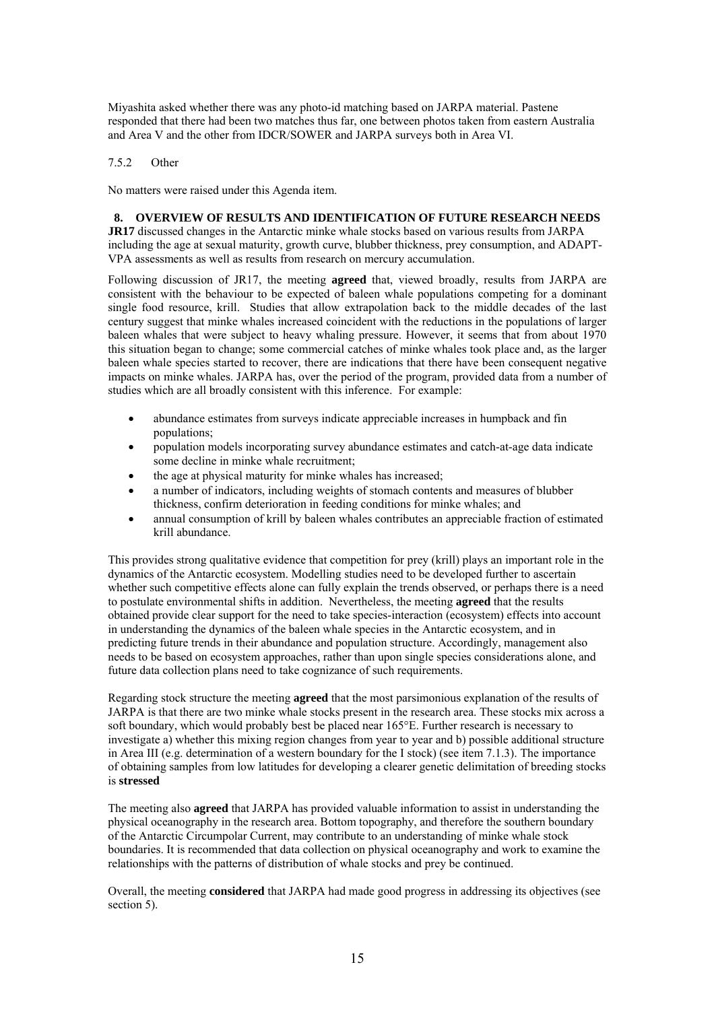Miyashita asked whether there was any photo-id matching based on JARPA material. Pastene responded that there had been two matches thus far, one between photos taken from eastern Australia and Area V and the other from IDCR/SOWER and JARPA surveys both in Area VI.

# 7.5.2 Other

No matters were raised under this Agenda item.

# **8. OVERVIEW OF RESULTS AND IDENTIFICATION OF FUTURE RESEARCH NEEDS**

**JR17** discussed changes in the Antarctic minke whale stocks based on various results from JARPA including the age at sexual maturity, growth curve, blubber thickness, prey consumption, and ADAPT-VPA assessments as well as results from research on mercury accumulation.

Following discussion of JR17, the meeting **agreed** that, viewed broadly, results from JARPA are consistent with the behaviour to be expected of baleen whale populations competing for a dominant single food resource, krill. Studies that allow extrapolation back to the middle decades of the last century suggest that minke whales increased coincident with the reductions in the populations of larger baleen whales that were subject to heavy whaling pressure. However, it seems that from about 1970 this situation began to change; some commercial catches of minke whales took place and, as the larger baleen whale species started to recover, there are indications that there have been consequent negative impacts on minke whales. JARPA has, over the period of the program, provided data from a number of studies which are all broadly consistent with this inference. For example:

- abundance estimates from surveys indicate appreciable increases in humpback and fin populations; •
- population models incorporating survey abundance estimates and catch-at-age data indicate some decline in minke whale recruitment;
- the age at physical maturity for minke whales has increased;
- a number of indicators, including weights of stomach contents and measures of blubber thickness, confirm deterioration in feeding conditions for minke whales; and
- annual consumption of krill by baleen whales contributes an appreciable fraction of estimated krill abundance.

This provides strong qualitative evidence that competition for prey (krill) plays an important role in the dynamics of the Antarctic ecosystem. Modelling studies need to be developed further to ascertain whether such competitive effects alone can fully explain the trends observed, or perhaps there is a need to postulate environmental shifts in addition. Nevertheless, the meeting **agreed** that the results obtained provide clear support for the need to take species-interaction (ecosystem) effects into account in understanding the dynamics of the baleen whale species in the Antarctic ecosystem, and in predicting future trends in their abundance and population structure. Accordingly, management also needs to be based on ecosystem approaches, rather than upon single species considerations alone, and future data collection plans need to take cognizance of such requirements.

Regarding stock structure the meeting **agreed** that the most parsimonious explanation of the results of JARPA is that there are two minke whale stocks present in the research area. These stocks mix across a soft boundary, which would probably best be placed near 165°E. Further research is necessary to investigate a) whether this mixing region changes from year to year and b) possible additional structure in Area III (e.g. determination of a western boundary for the I stock) (see item 7.1.3). The importance of obtaining samples from low latitudes for developing a clearer genetic delimitation of breeding stocks is **stressed**

The meeting also **agreed** that JARPA has provided valuable information to assist in understanding the physical oceanography in the research area. Bottom topography, and therefore the southern boundary of the Antarctic Circumpolar Current, may contribute to an understanding of minke whale stock boundaries. It is recommended that data collection on physical oceanography and work to examine the relationships with the patterns of distribution of whale stocks and prey be continued.

Overall, the meeting **considered** that JARPA had made good progress in addressing its objectives (see section 5).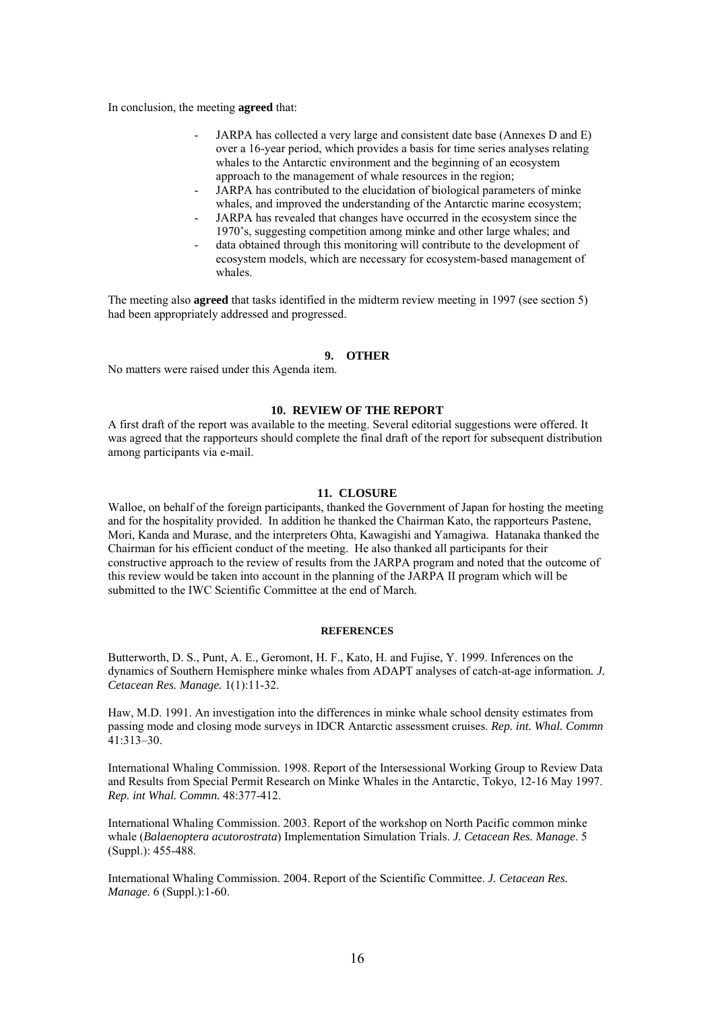In conclusion, the meeting **agreed** that:

- JARPA has collected a very large and consistent date base (Annexes D and E) over a 16-year period, which provides a basis for time series analyses relating whales to the Antarctic environment and the beginning of an ecosystem approach to the management of whale resources in the region;
- JARPA has contributed to the elucidation of biological parameters of minke whales, and improved the understanding of the Antarctic marine ecosystem;
- JARPA has revealed that changes have occurred in the ecosystem since the 1970's, suggesting competition among minke and other large whales; and
- data obtained through this monitoring will contribute to the development of ecosystem models, which are necessary for ecosystem-based management of whales.

The meeting also **agreed** that tasks identified in the midterm review meeting in 1997 (see section 5) had been appropriately addressed and progressed.

#### **9. OTHER**

No matters were raised under this Agenda item.

#### **10. REVIEW OF THE REPORT**

A first draft of the report was available to the meeting. Several editorial suggestions were offered. It was agreed that the rapporteurs should complete the final draft of the report for subsequent distribution among participants via e-mail.

### **11. CLOSURE**

Walloe, on behalf of the foreign participants, thanked the Government of Japan for hosting the meeting and for the hospitality provided. In addition he thanked the Chairman Kato, the rapporteurs Pastene, Mori, Kanda and Murase, and the interpreters Ohta, Kawagishi and Yamagiwa. Hatanaka thanked the Chairman for his efficient conduct of the meeting. He also thanked all participants for their constructive approach to the review of results from the JARPA program and noted that the outcome of this review would be taken into account in the planning of the JARPA II program which will be submitted to the IWC Scientific Committee at the end of March.

#### **REFERENCES**

Butterworth, D. S., Punt, A. E., Geromont, H. F., Kato, H. and Fujise, Y. 1999. Inferences on the dynamics of Southern Hemisphere minke whales from ADAPT analyses of catch-at-age information*. J. Cetacean Res. Manage.* 1(1):11-32.

Haw, M.D. 1991. An investigation into the differences in minke whale school density estimates from passing mode and closing mode surveys in IDCR Antarctic assessment cruises. *Rep. int. Whal. Commn*  41:313–30.

International Whaling Commission. 1998. Report of the Intersessional Working Group to Review Data and Results from Special Permit Research on Minke Whales in the Antarctic, Tokyo, 12-16 May 1997. *Rep. int Whal. Commn.* 48:377-412.

International Whaling Commission. 2003. Report of the workshop on North Pacific common minke whale (*Balaenoptera acutorostrata*) Implementation Simulation Trials. *J. Cetacean Res. Manage*. 5 (Suppl.): 455-488.

International Whaling Commission. 2004. Report of the Scientific Committee. *J. Cetacean Res. Manage.* 6 (Suppl.):1-60.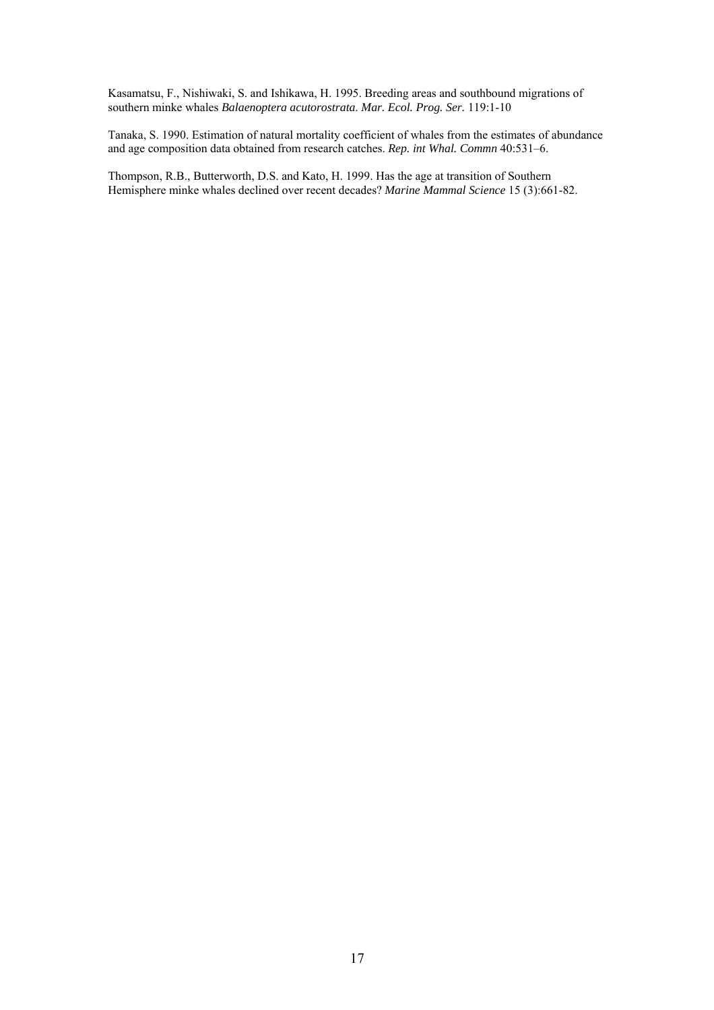Kasamatsu, F., Nishiwaki, S. and Ishikawa, H. 1995. Breeding areas and southbound migrations of southern minke whales *Balaenoptera acutorostrata*. *Mar. Ecol. Prog. Ser.* 119:1-10

Tanaka, S. 1990. Estimation of natural mortality coefficient of whales from the estimates of abundance and age composition data obtained from research catches. *Rep. int Whal. Commn* 40:531–6.

Thompson, R.B., Butterworth, D.S. and Kato, H. 1999. Has the age at transition of Southern Hemisphere minke whales declined over recent decades? *Marine Mammal Science* 15 (3):661-82.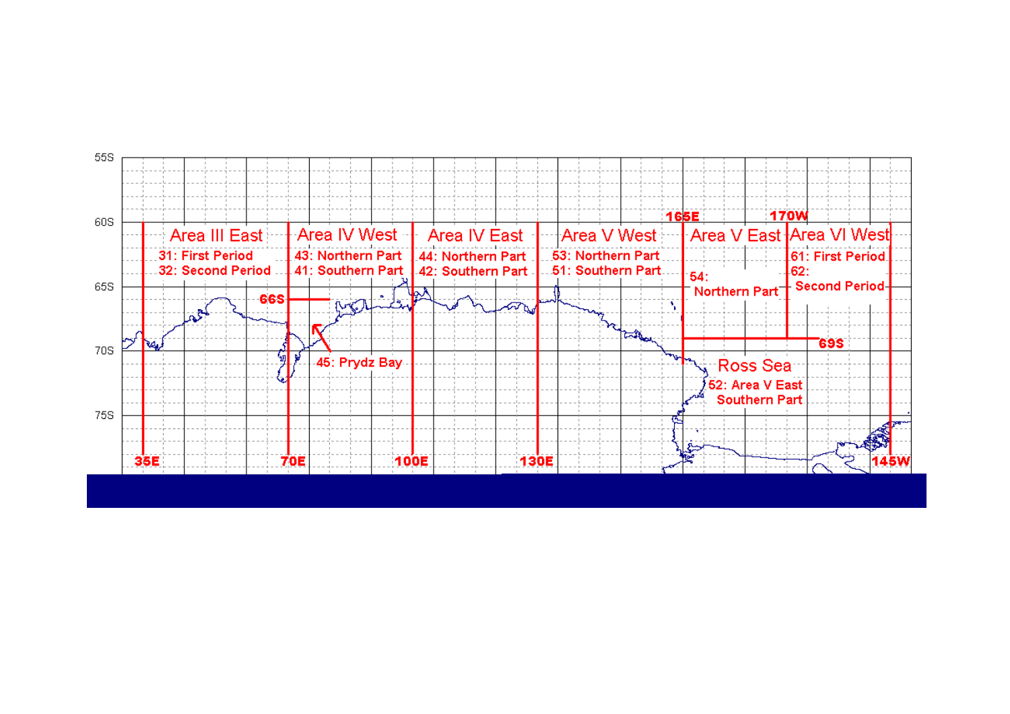Figure 1: Map of the JARPA research area (from JR2).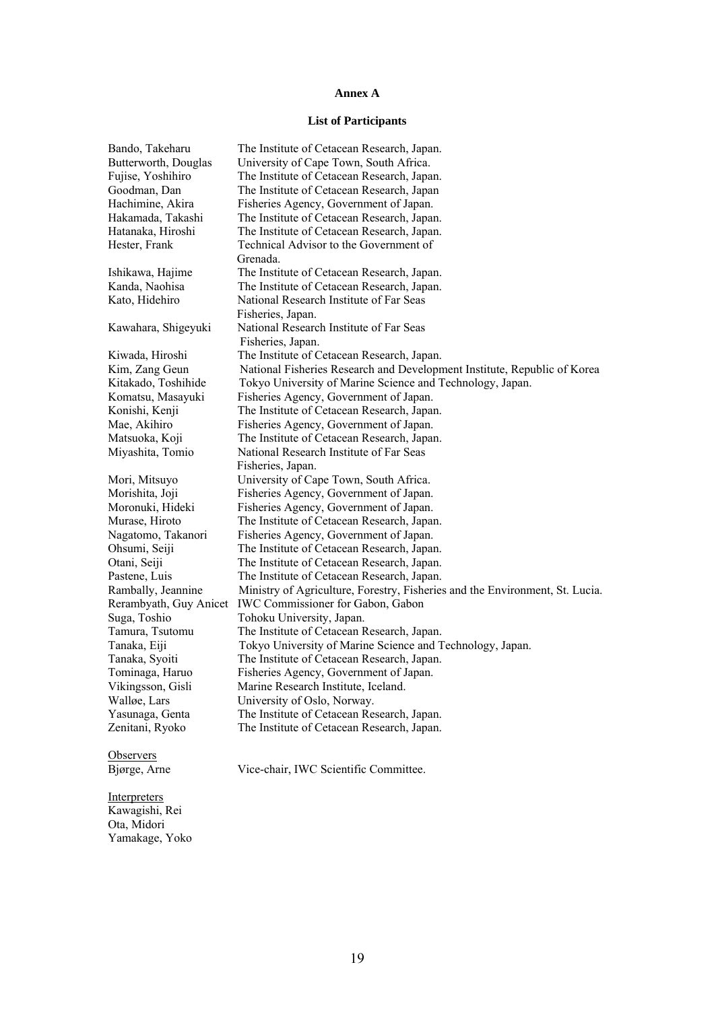#### **Annex A**

#### **List of Participants**

Bando, Takeharu The Institute of Cetacean Research, Japan. Butterworth, Douglas University of Cape Town, South Africa. Fujise, Yoshihiro The Institute of Cetacean Research, Japan. Goodman, Dan The Institute of Cetacean Research, Japan<br>Hachimine, Akira Fisheries Agency, Government of Japan. Hachimine, Akira Fisheries Agency, Government of Japan.<br>Hakamada. Takashi The Institute of Cetacean Research. Japan The Institute of Cetacean Research, Japan. Hatanaka, Hiroshi The Institute of Cetacean Research, Japan. Hester, Frank Technical Advisor to the Government of Grenada. Ishikawa, Hajime The Institute of Cetacean Research, Japan. Kanda, Naohisa The Institute of Cetacean Research, Japan. Kato, Hidehiro National Research Institute of Far Seas Fisheries, Japan. Kawahara, Shigeyuki National Research Institute of Far Seas Fisheries, Japan. Kiwada, Hiroshi The Institute of Cetacean Research, Japan. Kim, Zang Geun National Fisheries Research and Development Institute, Republic of Korea Kitakado, Toshihide Tokyo University of Marine Science and Technology, Japan. Komatsu, Masayuki Fisheries Agency, Government of Japan. Konishi, Kenji The Institute of Cetacean Research, Japan. Mae, Akihiro Fisheries Agency, Government of Japan. Matsuoka, Koji The Institute of Cetacean Research, Japan. Miyashita, Tomio National Research Institute of Far Seas Fisheries, Japan. Mori, Mitsuyo University of Cape Town, South Africa. Morishita, Joji Fisheries Agency, Government of Japan. Moronuki, Hideki Fisheries Agency, Government of Japan. Murase, Hiroto The Institute of Cetacean Research, Japan. Nagatomo, Takanori Fisheries Agency, Government of Japan. Ohsumi, Seiji The Institute of Cetacean Research, Japan. Otani, Seiji The Institute of Cetacean Research, Japan. Pastene, Luis The Institute of Cetacean Research, Japan. Rambally, Jeannine Ministry of Agriculture, Forestry, Fisheries and the Environment, St. Lucia. Rerambyath, Guy Anicet IWC Commissioner for Gabon, Gabon Suga, Toshio Tohoku University, Japan. Tamura, Tsutomu The Institute of Cetacean Research, Japan. Tanaka, Eiji Tokyo University of Marine Science and Technology, Japan. Tanaka, Syoiti The Institute of Cetacean Research, Japan. Tominaga, Haruo Fisheries Agency, Government of Japan. Vikingsson, Gisli Marine Research Institute, Iceland. Walløe, Lars University of Oslo, Norway. Yasunaga, Genta The Institute of Cetacean Research, Japan. Zenitani, Ryoko The Institute of Cetacean Research, Japan.

**Observers** 

Bjørge, Arne Vice-chair, IWC Scientific Committee.

**Interpreters** Kawagishi, Rei Ota, Midori Yamakage, Yoko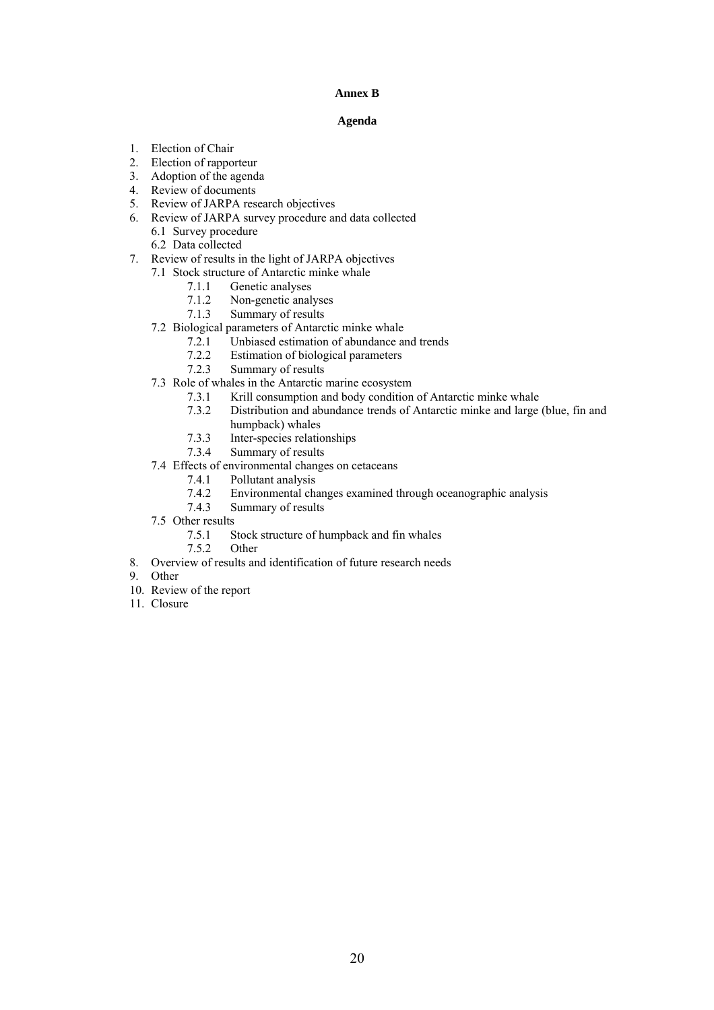# **Annex B**

#### **Agenda**

- 
- 1. Election of Chair<br>2. Election of rappo Election of rapporteur
- 3. Adoption of the agenda
- 4. Review of documents
- 5. Review of JARPA research objectives
- 6. Review of JARPA survey procedure and data collected
	- 6.1 Survey procedure
	- 6.2 Data collected
- 7. Review of results in the light of JARPA objectives
	- 7.1 Stock structure of Antarctic minke whale
		- 7.1.1 Genetic analyses
		- 7.1.2 Non-genetic analyses
		- 7.1.3 Summary of results
	- 7.2 Biological parameters of Antarctic minke whale
		- 7.2.1 Unbiased estimation of abundance and trends
		- 7.2.2 Estimation of biological parameters<br>7.2.3 Summary of results
		- Summary of results
	- 7.3 Role of whales in the Antarctic marine ecosystem
		- 7.3.1 Krill consumption and body condition of Antarctic minke whale
		- 7.3.2 Distribution and abundance trends of Antarctic minke and large (blue, fin and
		- humpback) whales
		- 7.3.3 Inter-species relationships<br>7.3.4 Summary of results
		- Summary of results
	- 7.4 Effects of environmental changes on cetaceans<br>7.4.1 Pollutant analysis
		- 7.4.1 Pollutant analysis<br>7.4.2 Environmental cha
		- 7.4.2 Environmental changes examined through oceanographic analysis
		- Summary of results
	- 7.5 Other results
		- 7.5.1 Stock structure of humpback and fin whales
		- 7.5.2 Other
- 8. Overview of results and identification of future research needs
- 9. Other
- 10. Review of the report
- 11. Closure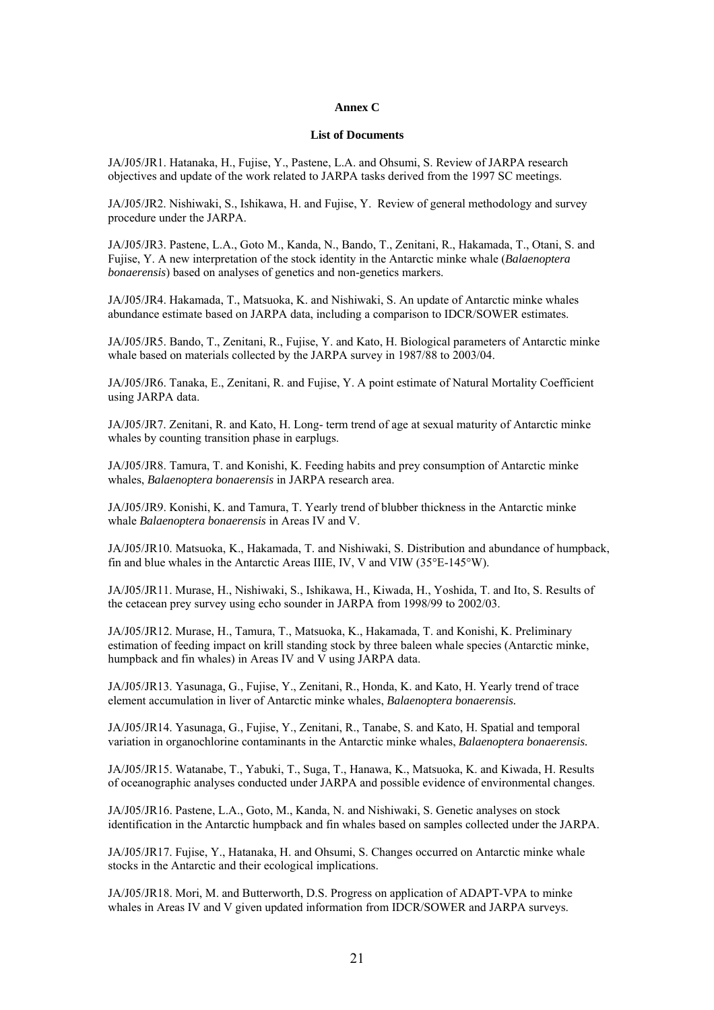#### **Annex C**

#### **List of Documents**

JA/J05/JR1. Hatanaka, H., Fujise, Y., Pastene, L.A. and Ohsumi, S. Review of JARPA research objectives and update of the work related to JARPA tasks derived from the 1997 SC meetings.

JA/J05/JR2. Nishiwaki, S., Ishikawa, H. and Fujise, Y. Review of general methodology and survey procedure under the JARPA.

JA/J05/JR3. Pastene, L.A., Goto M., Kanda, N., Bando, T., Zenitani, R., Hakamada, T., Otani, S. and Fujise, Y. A new interpretation of the stock identity in the Antarctic minke whale (*Balaenoptera bonaerensis*) based on analyses of genetics and non-genetics markers.

JA/J05/JR4. Hakamada, T., Matsuoka, K. and Nishiwaki, S. An update of Antarctic minke whales abundance estimate based on JARPA data, including a comparison to IDCR/SOWER estimates.

JA/J05/JR5. Bando, T., Zenitani, R., Fujise, Y. and Kato, H. Biological parameters of Antarctic minke whale based on materials collected by the JARPA survey in 1987/88 to 2003/04.

JA/J05/JR6. Tanaka, E., Zenitani, R. and Fujise, Y. A point estimate of Natural Mortality Coefficient using JARPA data.

JA/J05/JR7. Zenitani, R. and Kato, H. Long- term trend of age at sexual maturity of Antarctic minke whales by counting transition phase in earplugs.

JA/J05/JR8. Tamura, T. and Konishi, K. Feeding habits and prey consumption of Antarctic minke whales, *Balaenoptera bonaerensis* in JARPA research area.

JA/J05/JR9. Konishi, K. and Tamura, T. Yearly trend of blubber thickness in the Antarctic minke whale *Balaenoptera bonaerensis* in Areas IV and V.

JA/J05/JR10. Matsuoka, K., Hakamada, T. and Nishiwaki, S. Distribution and abundance of humpback, fin and blue whales in the Antarctic Areas IIIE, IV, V and VIW (35°E-145°W).

JA/J05/JR11. Murase, H., Nishiwaki, S., Ishikawa, H., Kiwada, H., Yoshida, T. and Ito, S. Results of the cetacean prey survey using echo sounder in JARPA from 1998/99 to 2002/03.

JA/J05/JR12. Murase, H., Tamura, T., Matsuoka, K., Hakamada, T. and Konishi, K. Preliminary estimation of feeding impact on krill standing stock by three baleen whale species (Antarctic minke, humpback and fin whales) in Areas IV and V using JARPA data.

JA/J05/JR13. Yasunaga, G., Fujise, Y., Zenitani, R., Honda, K. and Kato, H. Yearly trend of trace element accumulation in liver of Antarctic minke whales, *Balaenoptera bonaerensis.* 

JA/J05/JR14. Yasunaga, G., Fujise, Y., Zenitani, R., Tanabe, S. and Kato, H. Spatial and temporal variation in organochlorine contaminants in the Antarctic minke whales, *Balaenoptera bonaerensis.*

JA/J05/JR15. Watanabe, T., Yabuki, T., Suga, T., Hanawa, K., Matsuoka, K. and Kiwada, H. Results of oceanographic analyses conducted under JARPA and possible evidence of environmental changes.

JA/J05/JR16. Pastene, L.A., Goto, M., Kanda, N. and Nishiwaki, S. Genetic analyses on stock identification in the Antarctic humpback and fin whales based on samples collected under the JARPA.

JA/J05/JR17. Fujise, Y., Hatanaka, H. and Ohsumi, S. Changes occurred on Antarctic minke whale stocks in the Antarctic and their ecological implications.

JA/J05/JR18. Mori, M. and Butterworth, D.S. Progress on application of ADAPT-VPA to minke whales in Areas IV and V given updated information from IDCR/SOWER and JARPA surveys.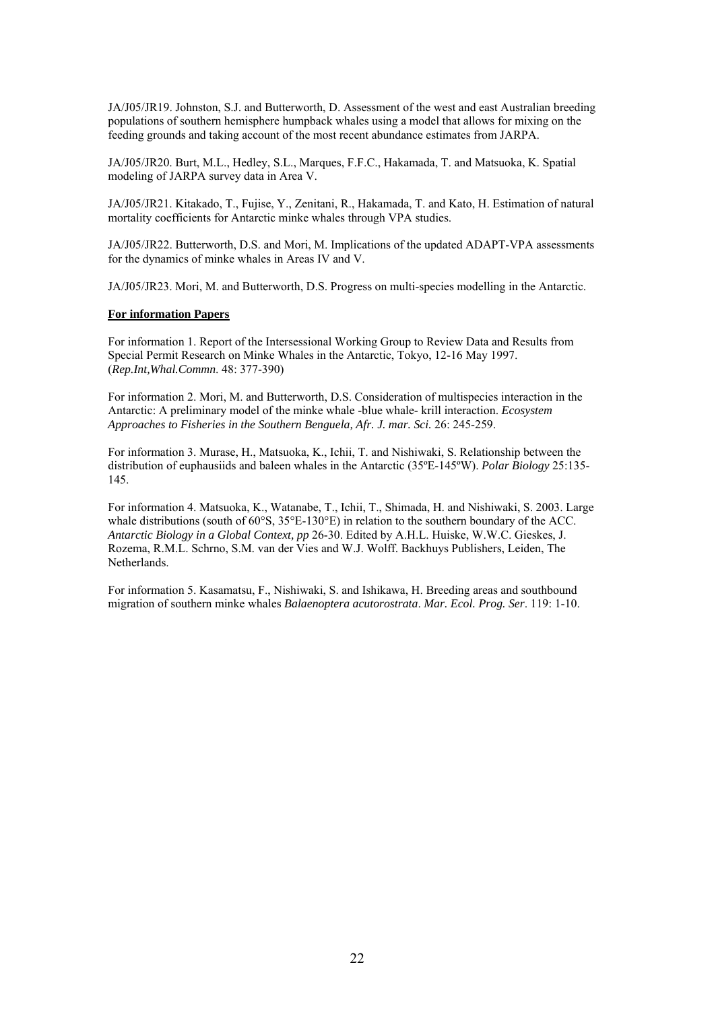JA/J05/JR19. Johnston, S.J. and Butterworth, D. Assessment of the west and east Australian breeding populations of southern hemisphere humpback whales using a model that allows for mixing on the feeding grounds and taking account of the most recent abundance estimates from JARPA.

JA/J05/JR20. Burt, M.L., Hedley, S.L., Marques, F.F.C., Hakamada, T. and Matsuoka, K. Spatial modeling of JARPA survey data in Area V.

JA/J05/JR21. Kitakado, T., Fujise, Y., Zenitani, R., Hakamada, T. and Kato, H. Estimation of natural mortality coefficients for Antarctic minke whales through VPA studies.

JA/J05/JR22. Butterworth, D.S. and Mori, M. Implications of the updated ADAPT-VPA assessments for the dynamics of minke whales in Areas IV and V.

JA/J05/JR23. Mori, M. and Butterworth, D.S. Progress on multi-species modelling in the Antarctic.

#### **For information Papers**

For information 1. Report of the Intersessional Working Group to Review Data and Results from Special Permit Research on Minke Whales in the Antarctic, Tokyo, 12-16 May 1997. (*Rep.Int,Whal.Commn*. 48: 377-390)

For information 2. Mori, M. and Butterworth, D.S. Consideration of multispecies interaction in the Antarctic: A preliminary model of the minke whale -blue whale- krill interaction. *Ecosystem Approaches to Fisheries in the Southern Benguela, Afr. J. mar. Sci.* 26: 245-259.

For information 3. Murase, H., Matsuoka, K., Ichii, T. and Nishiwaki, S. Relationship between the distribution of euphausiids and baleen whales in the Antarctic (35ºE-145ºW). *Polar Biology* 25:135- 145.

For information 4. Matsuoka, K., Watanabe, T., Ichii, T., Shimada, H. and Nishiwaki, S. 2003. Large whale distributions (south of 60°S, 35°E-130°E) in relation to the southern boundary of the ACC. *Antarctic Biology in a Global Context, pp* 26-30. Edited by A.H.L. Huiske, W.W.C. Gieskes, J. Rozema, R.M.L. Schrno, S.M. van der Vies and W.J. Wolff. Backhuys Publishers, Leiden, The Netherlands.

For information 5. Kasamatsu, F., Nishiwaki, S. and Ishikawa, H. Breeding areas and southbound migration of southern minke whales *Balaenoptera acutorostrata*. *Mar. Ecol. Prog. Ser*. 119: 1-10.